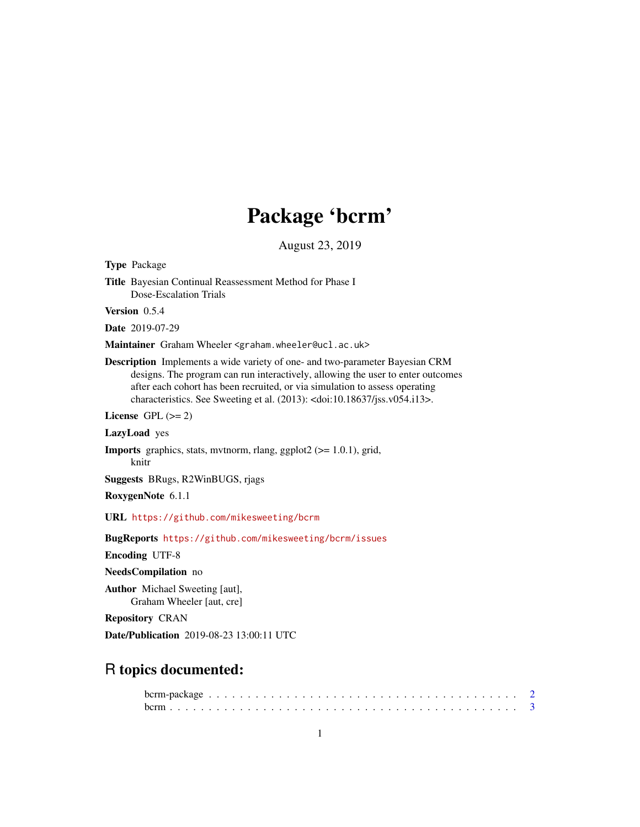# Package 'bcrm'

August 23, 2019

<span id="page-0-0"></span>Type Package

Title Bayesian Continual Reassessment Method for Phase I Dose-Escalation Trials Version 0.5.4 Date 2019-07-29 Maintainer Graham Wheeler <graham.wheeler@ucl.ac.uk> Description Implements a wide variety of one- and two-parameter Bayesian CRM designs. The program can run interactively, allowing the user to enter outcomes after each cohort has been recruited, or via simulation to assess operating characteristics. See Sweeting et al. (2013): <doi:10.18637/jss.v054.i13>. License GPL  $(>= 2)$ LazyLoad yes Imports graphics, stats, mvtnorm, rlang, ggplot2 (>= 1.0.1), grid, knitr Suggests BRugs, R2WinBUGS, rjags RoxygenNote 6.1.1 URL <https://github.com/mikesweeting/bcrm> BugReports <https://github.com/mikesweeting/bcrm/issues> Encoding UTF-8 NeedsCompilation no Author Michael Sweeting [aut], Graham Wheeler [aut, cre] Repository CRAN Date/Publication 2019-08-23 13:00:11 UTC R topics documented: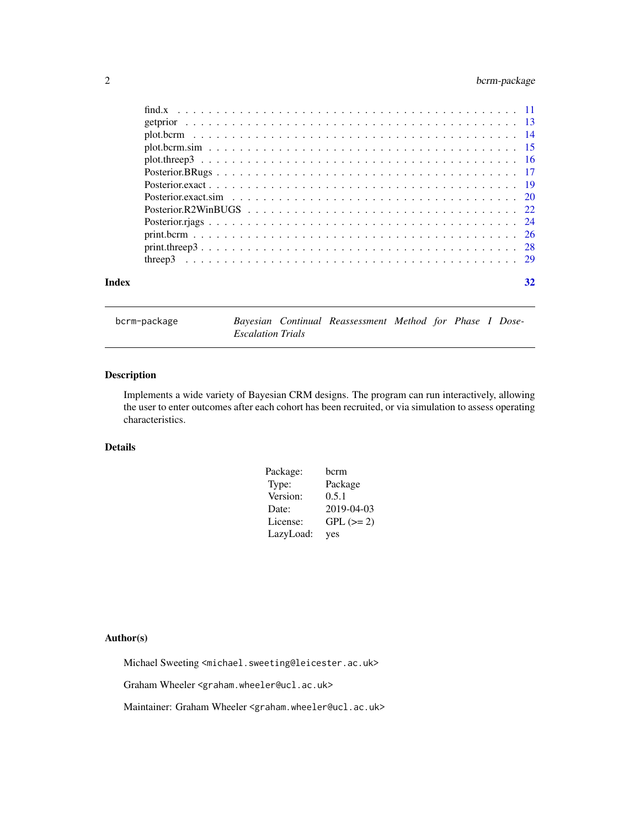# <span id="page-1-0"></span>2 bcrm-package

|       | $print. three p3$ 28 |    |
|-------|----------------------|----|
|       |                      |    |
| Index |                      | 32 |
|       |                      |    |

| bcrm-package |  |
|--------------|--|
|              |  |

Bayesian Continual Reassessment Method for Phase I Dose-*Escalation Trials*

# Description

Implements a wide variety of Bayesian CRM designs. The program can run interactively, allowing the user to enter outcomes after each cohort has been recruited, or via simulation to assess operating characteristics.

# Details

| Package:  | bcrm        |
|-----------|-------------|
| Type:     | Package     |
| Version:  | 0.5.1       |
| Date:     | 2019-04-03  |
| License:  | $GPL (= 2)$ |
| LazyLoad: | yes         |

# Author(s)

Michael Sweeting <michael.sweeting@leicester.ac.uk>

Graham Wheeler <graham.wheeler@ucl.ac.uk>

Maintainer: Graham Wheeler <graham.wheeler@ucl.ac.uk>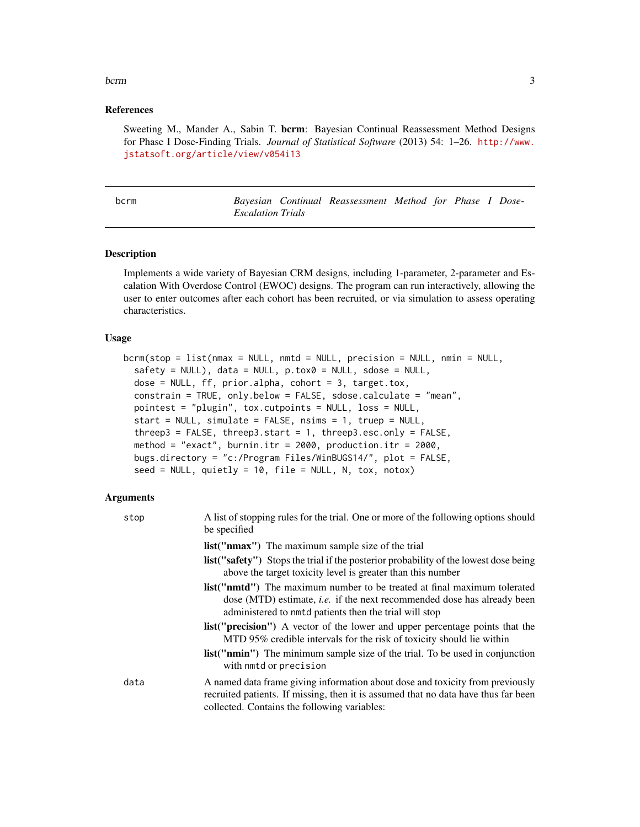#### <span id="page-2-0"></span>bcrm 3

# References

Sweeting M., Mander A., Sabin T. bcrm: Bayesian Continual Reassessment Method Designs for Phase I Dose-Finding Trials. *Journal of Statistical Software* (2013) 54: 1–26. [http://www.](http://www.jstatsoft.org/article/view/v054i13) [jstatsoft.org/article/view/v054i13](http://www.jstatsoft.org/article/view/v054i13)

<span id="page-2-1"></span>

| $\sim$<br>M.<br>۰. | × |
|--------------------|---|
|--------------------|---|

Bayesian Continual Reassessment Method for Phase I Dose-*Escalation Trials*

#### **Description**

Implements a wide variety of Bayesian CRM designs, including 1-parameter, 2-parameter and Escalation With Overdose Control (EWOC) designs. The program can run interactively, allowing the user to enter outcomes after each cohort has been recruited, or via simulation to assess operating characteristics.

#### Usage

```
bcrm(\text{stop} = \text{list}(\text{nmax} = \text{NULL}, \text{nmtd} = \text{NULL}, \text{precision} = \text{NULL}, \text{mmin} = \text{NULL},safety = NULL, data = NULL, p.tox0 = NULL, sdose = NULL,
  dose = NULL, ff, prior.alpha, cohort = 3, target.tox,constrain = TRUE, only.below = FALSE, sdose.calculate = "mean",
  pointest = "plugin", tox.cutpoints = NULL, loss = NULL,
  start = NULL, simulate = FALSE, nsims = 1, truep = NULL,
  threep3 = FALSE, threep3.start = 1, threep3.esc.only = FALSE,
  method = "exact", burnin.itr = 2000, production.itr = 2000,
  bugs.directory = "c:/Program Files/WinBUGS14/", plot = FALSE,
  seed = NULL, quietly = 10, file = NULL, N, tox, notox)
```
# Arguments

| stop | A list of stopping rules for the trial. One or more of the following options should<br>be specified                                                                                                                                   |
|------|---------------------------------------------------------------------------------------------------------------------------------------------------------------------------------------------------------------------------------------|
|      | <b>list</b> ("nmax") The maximum sample size of the trial                                                                                                                                                                             |
|      | <b>list</b> ("safety") Stops the trial if the posterior probability of the lowest dose being<br>above the target toxicity level is greater than this number                                                                           |
|      | <b>list</b> (" <b>nmtd</b> ") The maximum number to be treated at final maximum tolerated<br>dose (MTD) estimate, <i>i.e.</i> if the next recommended dose has already been<br>administered to nmtd patients then the trial will stop |
|      | <b>list</b> (" <b>precision</b> ") A vector of the lower and upper percentage points that the<br>MTD 95% credible intervals for the risk of toxicity should lie within                                                                |
|      | <b>list</b> ("nmin") The minimum sample size of the trial. To be used in conjunction<br>with nmtd or precision                                                                                                                        |
| data | A named data frame giving information about dose and toxicity from previously<br>recruited patients. If missing, then it is assumed that no data have thus far been<br>collected. Contains the following variables:                   |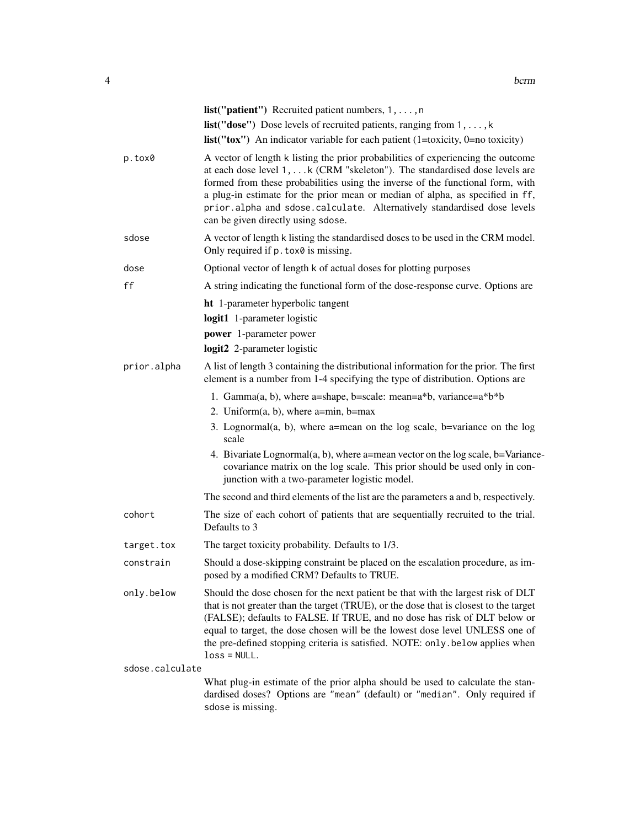|                 | <b>list</b> (" <b>patient</b> ") Recruited patient numbers, $1, \ldots, n$                                                                                                                                                                                                                                                                                                                                                                         |
|-----------------|----------------------------------------------------------------------------------------------------------------------------------------------------------------------------------------------------------------------------------------------------------------------------------------------------------------------------------------------------------------------------------------------------------------------------------------------------|
|                 | list("dose") Dose levels of recruited patients, ranging from 1, , k                                                                                                                                                                                                                                                                                                                                                                                |
|                 | $list("tox")$ An indicator variable for each patient (1=toxicity, 0=no toxicity)                                                                                                                                                                                                                                                                                                                                                                   |
| p.tox0          | A vector of length k listing the prior probabilities of experiencing the outcome<br>at each dose level 1, k (CRM "skeleton"). The standardised dose levels are<br>formed from these probabilities using the inverse of the functional form, with<br>a plug-in estimate for the prior mean or median of alpha, as specified in ff,<br>prior.alpha and sdose.calculate. Alternatively standardised dose levels<br>can be given directly using sdose. |
| sdose           | A vector of length k listing the standardised doses to be used in the CRM model.<br>Only required if p. tox0 is missing.                                                                                                                                                                                                                                                                                                                           |
| dose            | Optional vector of length k of actual doses for plotting purposes                                                                                                                                                                                                                                                                                                                                                                                  |
| ff              | A string indicating the functional form of the dose-response curve. Options are                                                                                                                                                                                                                                                                                                                                                                    |
|                 | <b>ht</b> 1-parameter hyperbolic tangent                                                                                                                                                                                                                                                                                                                                                                                                           |
|                 | logit1 1-parameter logistic                                                                                                                                                                                                                                                                                                                                                                                                                        |
|                 | power 1-parameter power                                                                                                                                                                                                                                                                                                                                                                                                                            |
|                 | logit2 2-parameter logistic                                                                                                                                                                                                                                                                                                                                                                                                                        |
| prior.alpha     | A list of length 3 containing the distributional information for the prior. The first<br>element is a number from 1-4 specifying the type of distribution. Options are                                                                                                                                                                                                                                                                             |
|                 | 1. Gamma $(a, b)$ , where a=shape, b=scale: mean=a*b, variance=a*b*b                                                                                                                                                                                                                                                                                                                                                                               |
|                 | 2. Uniform $(a, b)$ , where a=min, b=max                                                                                                                                                                                                                                                                                                                                                                                                           |
|                 | 3. Lognormal(a, b), where a=mean on the log scale, b=variance on the log<br>scale                                                                                                                                                                                                                                                                                                                                                                  |
|                 | 4. Bivariate Lognormal $(a, b)$ , where a=mean vector on the log scale, b=Variance-<br>covariance matrix on the log scale. This prior should be used only in con-<br>junction with a two-parameter logistic model.                                                                                                                                                                                                                                 |
|                 | The second and third elements of the list are the parameters a and b, respectively.                                                                                                                                                                                                                                                                                                                                                                |
| cohort          | The size of each cohort of patients that are sequentially recruited to the trial.<br>Defaults to 3                                                                                                                                                                                                                                                                                                                                                 |
| target.tox      | The target toxicity probability. Defaults to 1/3.                                                                                                                                                                                                                                                                                                                                                                                                  |
| constrain       | Should a dose-skipping constraint be placed on the escalation procedure, as im-<br>posed by a modified CRM? Defaults to TRUE.                                                                                                                                                                                                                                                                                                                      |
| only.below      | Should the dose chosen for the next patient be that with the largest risk of DLT<br>that is not greater than the target (TRUE), or the dose that is closest to the target<br>(FALSE); defaults to FALSE. If TRUE, and no dose has risk of DLT below or<br>equal to target, the dose chosen will be the lowest dose level UNLESS one of<br>the pre-defined stopping criteria is satisfied. NOTE: only . below applies when<br>$loss = NULL.$        |
| sdose.calculate |                                                                                                                                                                                                                                                                                                                                                                                                                                                    |
|                 | What plug-in estimate of the prior alpha should be used to calculate the stan-<br>dardised doses? Options are "mean" (default) or "median". Only required if<br>sdose is missing.                                                                                                                                                                                                                                                                  |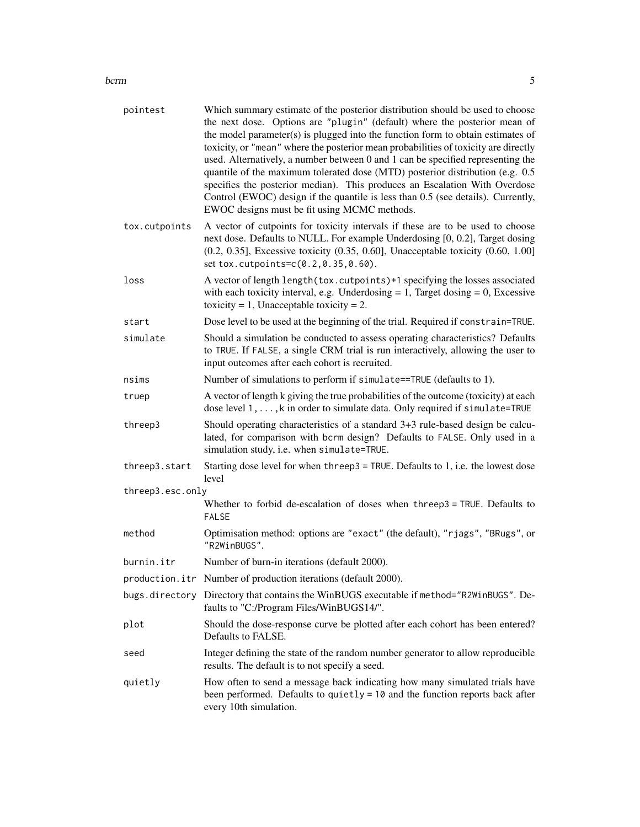#### bcrm 5

| pointest         | Which summary estimate of the posterior distribution should be used to choose<br>the next dose. Options are "plugin" (default) where the posterior mean of<br>the model parameter(s) is plugged into the function form to obtain estimates of<br>toxicity, or "mean" where the posterior mean probabilities of toxicity are directly<br>used. Alternatively, a number between 0 and 1 can be specified representing the<br>quantile of the maximum tolerated dose (MTD) posterior distribution (e.g. 0.5<br>specifies the posterior median). This produces an Escalation With Overdose<br>Control (EWOC) design if the quantile is less than 0.5 (see details). Currently,<br>EWOC designs must be fit using MCMC methods. |
|------------------|----------------------------------------------------------------------------------------------------------------------------------------------------------------------------------------------------------------------------------------------------------------------------------------------------------------------------------------------------------------------------------------------------------------------------------------------------------------------------------------------------------------------------------------------------------------------------------------------------------------------------------------------------------------------------------------------------------------------------|
| tox.cutpoints    | A vector of cutpoints for toxicity intervals if these are to be used to choose<br>next dose. Defaults to NULL. For example Underdosing [0, 0.2], Target dosing<br>$(0.2, 0.35]$ , Excessive toxicity $(0.35, 0.60]$ , Unacceptable toxicity $(0.60, 1.00]$<br>set tox.cutpoints=c(0.2,0.35,0.60).                                                                                                                                                                                                                                                                                                                                                                                                                          |
| loss             | A vector of length length (tox. cutpoints)+1 specifying the losses associated<br>with each toxicity interval, e.g. Underdosing $= 1$ , Target dosing $= 0$ , Excessive<br>toxicity = 1, Unacceptable toxicity = 2.                                                                                                                                                                                                                                                                                                                                                                                                                                                                                                         |
| start            | Dose level to be used at the beginning of the trial. Required if constrain=TRUE.                                                                                                                                                                                                                                                                                                                                                                                                                                                                                                                                                                                                                                           |
| simulate         | Should a simulation be conducted to assess operating characteristics? Defaults<br>to TRUE. If FALSE, a single CRM trial is run interactively, allowing the user to<br>input outcomes after each cohort is recruited.                                                                                                                                                                                                                                                                                                                                                                                                                                                                                                       |
| nsims            | Number of simulations to perform if simulate==TRUE (defaults to 1).                                                                                                                                                                                                                                                                                                                                                                                                                                                                                                                                                                                                                                                        |
| truep            | A vector of length k giving the true probabilities of the outcome (toxicity) at each<br>dose level 1, , k in order to simulate data. Only required if simulate=TRUE                                                                                                                                                                                                                                                                                                                                                                                                                                                                                                                                                        |
| threep3          | Should operating characteristics of a standard 3+3 rule-based design be calcu-<br>lated, for comparison with bcrm design? Defaults to FALSE. Only used in a<br>simulation study, i.e. when simulate=TRUE.                                                                                                                                                                                                                                                                                                                                                                                                                                                                                                                  |
| threep3.start    | Starting dose level for when threep3 = TRUE. Defaults to 1, i.e. the lowest dose<br>level                                                                                                                                                                                                                                                                                                                                                                                                                                                                                                                                                                                                                                  |
| threep3.esc.only |                                                                                                                                                                                                                                                                                                                                                                                                                                                                                                                                                                                                                                                                                                                            |
|                  | Whether to forbid de-escalation of doses when threep3 = TRUE. Defaults to<br><b>FALSE</b>                                                                                                                                                                                                                                                                                                                                                                                                                                                                                                                                                                                                                                  |
| method           | Optimisation method: options are "exact" (the default), "rjags", "BRugs", or<br>"R2WinBUGS".                                                                                                                                                                                                                                                                                                                                                                                                                                                                                                                                                                                                                               |
| burnin.itr       | Number of burn-in iterations (default 2000).                                                                                                                                                                                                                                                                                                                                                                                                                                                                                                                                                                                                                                                                               |
|                  | production.itr Number of production iterations (default 2000).                                                                                                                                                                                                                                                                                                                                                                                                                                                                                                                                                                                                                                                             |
| bugs.directory   | Directory that contains the WinBUGS executable if method="R2WinBUGS". De-<br>faults to "C:/Program Files/WinBUGS14/".                                                                                                                                                                                                                                                                                                                                                                                                                                                                                                                                                                                                      |
| plot             | Should the dose-response curve be plotted after each cohort has been entered?<br>Defaults to FALSE.                                                                                                                                                                                                                                                                                                                                                                                                                                                                                                                                                                                                                        |
| seed             | Integer defining the state of the random number generator to allow reproducible<br>results. The default is to not specify a seed.                                                                                                                                                                                                                                                                                                                                                                                                                                                                                                                                                                                          |
| quietly          | How often to send a message back indicating how many simulated trials have<br>been performed. Defaults to quietly = 10 and the function reports back after<br>every 10th simulation.                                                                                                                                                                                                                                                                                                                                                                                                                                                                                                                                       |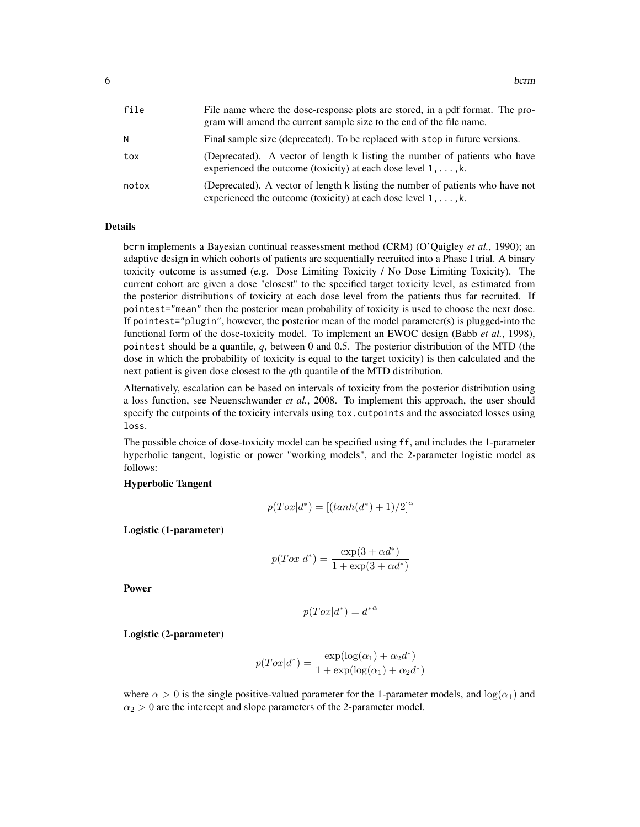| file  | File name where the dose-response plots are stored, in a pdf format. The pro-<br>gram will amend the current sample size to the end of the file name.    |
|-------|----------------------------------------------------------------------------------------------------------------------------------------------------------|
| Ν     | Final sample size (deprecated). To be replaced with stop in future versions.                                                                             |
| tox   | (Deprecated). A vector of length k listing the number of patients who have<br>experienced the outcome (toxicity) at each dose level $1, \ldots, k$ .     |
| notox | (Deprecated). A vector of length k listing the number of patients who have not<br>experienced the outcome (toxicity) at each dose level $1, \ldots, k$ . |

# Details

bcrm implements a Bayesian continual reassessment method (CRM) (O'Quigley *et al.*, 1990); an adaptive design in which cohorts of patients are sequentially recruited into a Phase I trial. A binary toxicity outcome is assumed (e.g. Dose Limiting Toxicity / No Dose Limiting Toxicity). The current cohort are given a dose "closest" to the specified target toxicity level, as estimated from the posterior distributions of toxicity at each dose level from the patients thus far recruited. If pointest="mean" then the posterior mean probability of toxicity is used to choose the next dose. If pointest="plugin", however, the posterior mean of the model parameter(s) is plugged-into the functional form of the dose-toxicity model. To implement an EWOC design (Babb *et al.*, 1998), pointest should be a quantile, *q*, between 0 and 0.5. The posterior distribution of the MTD (the dose in which the probability of toxicity is equal to the target toxicity) is then calculated and the next patient is given dose closest to the *q*th quantile of the MTD distribution.

Alternatively, escalation can be based on intervals of toxicity from the posterior distribution using a loss function, see Neuenschwander *et al.*, 2008. To implement this approach, the user should specify the cutpoints of the toxicity intervals using tox.cutpoints and the associated losses using loss.

The possible choice of dose-toxicity model can be specified using ff, and includes the 1-parameter hyperbolic tangent, logistic or power "working models", and the 2-parameter logistic model as follows:

# Hyperbolic Tangent

$$
p(Tox|d^*) = [(tanh(d^*)+1)/2]^{\alpha}
$$

Logistic (1-parameter)

$$
p(Tox|d^*) = \frac{\exp(3 + \alpha d^*)}{1 + \exp(3 + \alpha d^*)}
$$

Power

$$
p(Tox|d^*) = {d^*}^\alpha
$$

Logistic (2-parameter)

$$
p(Tox|d^*) = \frac{\exp(\log(\alpha_1) + \alpha_2 d^*)}{1 + \exp(\log(\alpha_1) + \alpha_2 d^*)}
$$

where  $\alpha > 0$  is the single positive-valued parameter for the 1-parameter models, and  $\log(\alpha_1)$  and  $\alpha_2 > 0$  are the intercept and slope parameters of the 2-parameter model.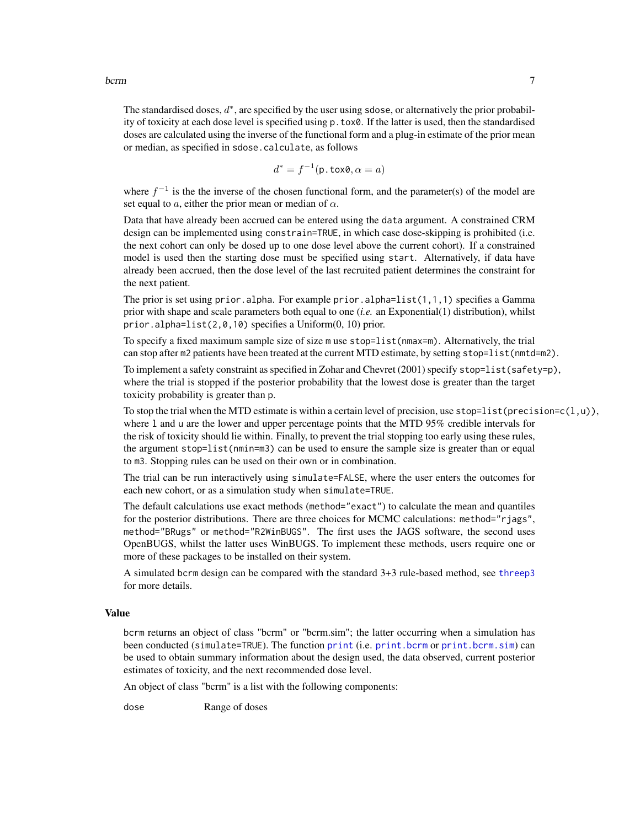<span id="page-6-0"></span>The standardised doses,  $d^*$ , are specified by the user using sdose, or alternatively the prior probability of toxicity at each dose level is specified using p.tox0. If the latter is used, then the standardised doses are calculated using the inverse of the functional form and a plug-in estimate of the prior mean or median, as specified in sdose.calculate, as follows

$$
d^* = f^{-1}(\mathsf{p}.\texttt{tox0}, \alpha = a)
$$

where  $f^{-1}$  is the the inverse of the chosen functional form, and the parameter(s) of the model are set equal to a, either the prior mean or median of  $\alpha$ .

Data that have already been accrued can be entered using the data argument. A constrained CRM design can be implemented using constrain=TRUE, in which case dose-skipping is prohibited (i.e. the next cohort can only be dosed up to one dose level above the current cohort). If a constrained model is used then the starting dose must be specified using start. Alternatively, if data have already been accrued, then the dose level of the last recruited patient determines the constraint for the next patient.

The prior is set using prior. alpha. For example prior. alpha= $list(1,1,1)$  specifies a Gamma prior with shape and scale parameters both equal to one (*i.e.* an Exponential(1) distribution), whilst prior.alpha=list(2,0,10) specifies a Uniform(0, 10) prior.

To specify a fixed maximum sample size of size m use stop=list(nmax=m). Alternatively, the trial can stop after m2 patients have been treated at the current MTD estimate, by setting stop=list(nmtd=m2).

To implement a safety constraint as specified in Zohar and Chevret (2001) specify stop=list(safety=p), where the trial is stopped if the posterior probability that the lowest dose is greater than the target toxicity probability is greater than p.

To stop the trial when the MTD estimate is within a certain level of precision, use stop=list(precision=c(l,u)), where l and u are the lower and upper percentage points that the MTD 95% credible intervals for the risk of toxicity should lie within. Finally, to prevent the trial stopping too early using these rules, the argument stop=list(nmin=m3) can be used to ensure the sample size is greater than or equal to m3. Stopping rules can be used on their own or in combination.

The trial can be run interactively using simulate=FALSE, where the user enters the outcomes for each new cohort, or as a simulation study when simulate=TRUE.

The default calculations use exact methods (method="exact") to calculate the mean and quantiles for the posterior distributions. There are three choices for MCMC calculations: method="rjags", method="BRugs" or method="R2WinBUGS". The first uses the JAGS software, the second uses OpenBUGS, whilst the latter uses WinBUGS. To implement these methods, users require one or more of these packages to be installed on their system.

A simulated bcrm design can be compared with the standard 3+3 rule-based method, see [threep3](#page-28-1) for more details.

# Value

bcrm returns an object of class "bcrm" or "bcrm.sim"; the latter occurring when a simulation has been conducted (simulate=TRUE). The function [print](#page-0-0) (i.e. [print.bcrm](#page-25-1) or [print.bcrm.sim](#page-25-2)) can be used to obtain summary information about the design used, the data observed, current posterior estimates of toxicity, and the next recommended dose level.

An object of class "bcrm" is a list with the following components:

dose Range of doses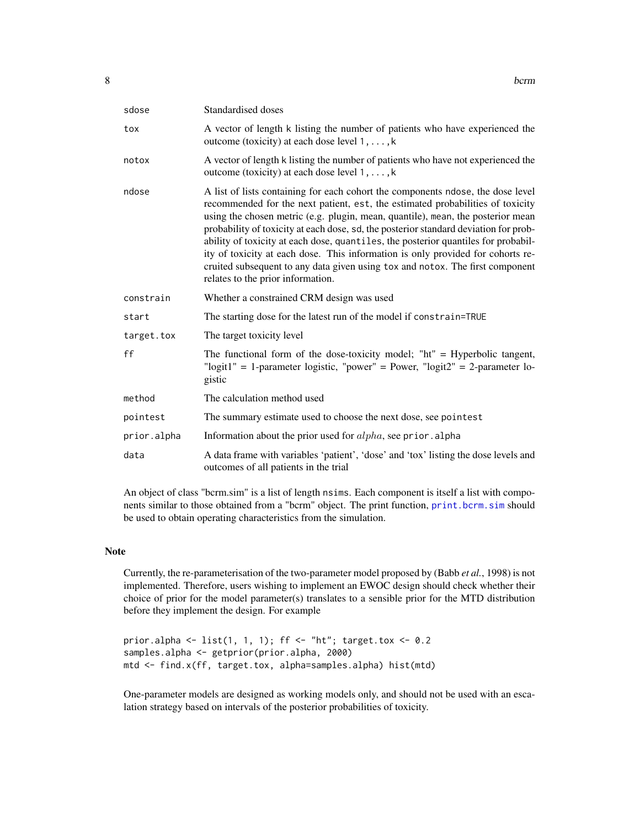| sdose       | Standardised doses                                                                                                                                                                                                                                                                                                                                                                                                                                                                                                                                                                                                                          |
|-------------|---------------------------------------------------------------------------------------------------------------------------------------------------------------------------------------------------------------------------------------------------------------------------------------------------------------------------------------------------------------------------------------------------------------------------------------------------------------------------------------------------------------------------------------------------------------------------------------------------------------------------------------------|
| tox         | A vector of length k listing the number of patients who have experienced the<br>outcome (toxicity) at each dose level $1, \ldots, k$                                                                                                                                                                                                                                                                                                                                                                                                                                                                                                        |
| notox       | A vector of length k listing the number of patients who have not experienced the<br>outcome (toxicity) at each dose level $1, \ldots, k$                                                                                                                                                                                                                                                                                                                                                                                                                                                                                                    |
| ndose       | A list of lists containing for each cohort the components ndose, the dose level<br>recommended for the next patient, est, the estimated probabilities of toxicity<br>using the chosen metric (e.g. plugin, mean, quantile), mean, the posterior mean<br>probability of toxicity at each dose, sd, the posterior standard deviation for prob-<br>ability of toxicity at each dose, quantiles, the posterior quantiles for probabil-<br>ity of toxicity at each dose. This information is only provided for cohorts re-<br>cruited subsequent to any data given using tox and notox. The first component<br>relates to the prior information. |
| constrain   | Whether a constrained CRM design was used                                                                                                                                                                                                                                                                                                                                                                                                                                                                                                                                                                                                   |
| start       | The starting dose for the latest run of the model if constrain=TRUE                                                                                                                                                                                                                                                                                                                                                                                                                                                                                                                                                                         |
| target.tox  | The target toxicity level                                                                                                                                                                                                                                                                                                                                                                                                                                                                                                                                                                                                                   |
| ff          | The functional form of the dose-toxicity model; " $\hbar t$ " = Hyperbolic tangent,<br>"logit1" = 1-parameter logistic, "power" = Power, "logit2" = 2-parameter lo-<br>gistic                                                                                                                                                                                                                                                                                                                                                                                                                                                               |
| method      | The calculation method used                                                                                                                                                                                                                                                                                                                                                                                                                                                                                                                                                                                                                 |
| pointest    | The summary estimate used to choose the next dose, see pointest                                                                                                                                                                                                                                                                                                                                                                                                                                                                                                                                                                             |
| prior.alpha | Information about the prior used for <i>alpha</i> , see prior. alpha                                                                                                                                                                                                                                                                                                                                                                                                                                                                                                                                                                        |
| data        | A data frame with variables 'patient', 'dose' and 'tox' listing the dose levels and<br>outcomes of all patients in the trial                                                                                                                                                                                                                                                                                                                                                                                                                                                                                                                |

An object of class "bcrm.sim" is a list of length nsims. Each component is itself a list with components similar to those obtained from a "bcrm" object. The print function, [print.bcrm.sim](#page-25-2) should be used to obtain operating characteristics from the simulation.

# Note

Currently, the re-parameterisation of the two-parameter model proposed by (Babb *et al.*, 1998) is not implemented. Therefore, users wishing to implement an EWOC design should check whether their choice of prior for the model parameter(s) translates to a sensible prior for the MTD distribution before they implement the design. For example

```
prior.alpha <- list(1, 1, 1); ff <- "ht"; target.tox <- 0.2
samples.alpha <- getprior(prior.alpha, 2000)
mtd <- find.x(ff, target.tox, alpha=samples.alpha) hist(mtd)
```
One-parameter models are designed as working models only, and should not be used with an escalation strategy based on intervals of the posterior probabilities of toxicity.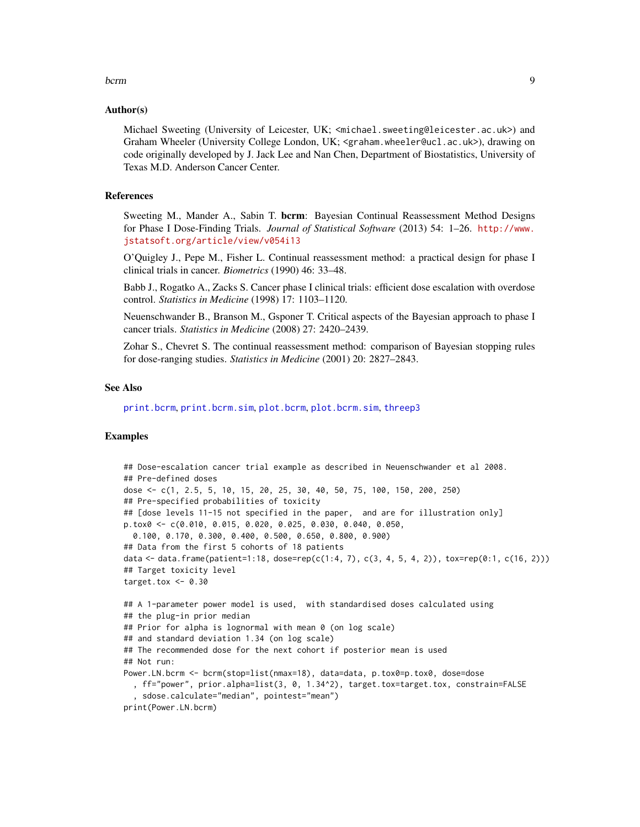#### <span id="page-8-0"></span>bcrm 9

#### Author(s)

Michael Sweeting (University of Leicester, UK; <michael.sweeting@leicester.ac.uk>) and Graham Wheeler (University College London, UK; <graham.wheeler@ucl.ac.uk>), drawing on code originally developed by J. Jack Lee and Nan Chen, Department of Biostatistics, University of Texas M.D. Anderson Cancer Center.

# References

Sweeting M., Mander A., Sabin T. bcrm: Bayesian Continual Reassessment Method Designs for Phase I Dose-Finding Trials. *Journal of Statistical Software* (2013) 54: 1–26. [http://www.](http://www.jstatsoft.org/article/view/v054i13) [jstatsoft.org/article/view/v054i13](http://www.jstatsoft.org/article/view/v054i13)

O'Quigley J., Pepe M., Fisher L. Continual reassessment method: a practical design for phase I clinical trials in cancer. *Biometrics* (1990) 46: 33–48.

Babb J., Rogatko A., Zacks S. Cancer phase I clinical trials: efficient dose escalation with overdose control. *Statistics in Medicine* (1998) 17: 1103–1120.

Neuenschwander B., Branson M., Gsponer T. Critical aspects of the Bayesian approach to phase I cancer trials. *Statistics in Medicine* (2008) 27: 2420–2439.

Zohar S., Chevret S. The continual reassessment method: comparison of Bayesian stopping rules for dose-ranging studies. *Statistics in Medicine* (2001) 20: 2827–2843.

#### See Also

[print.bcrm](#page-25-1), [print.bcrm.sim](#page-25-2), [plot.bcrm](#page-13-1), [plot.bcrm.sim](#page-14-1), [threep3](#page-28-1)

# Examples

```
## Dose-escalation cancer trial example as described in Neuenschwander et al 2008.
## Pre-defined doses
dose <- c(1, 2.5, 5, 10, 15, 20, 25, 30, 40, 50, 75, 100, 150, 200, 250)
## Pre-specified probabilities of toxicity
## [dose levels 11-15 not specified in the paper, and are for illustration only]
p.tox0 <- c(0.010, 0.015, 0.020, 0.025, 0.030, 0.040, 0.050,
 0.100, 0.170, 0.300, 0.400, 0.500, 0.650, 0.800, 0.900)
## Data from the first 5 cohorts of 18 patients
data <- data.frame(patient=1:18, dose=rep(c(1:4, 7), c(3, 4, 5, 4, 2)), tox=rep(0:1, c(16, 2)))
## Target toxicity level
target.tox <-0.30## A 1-parameter power model is used, with standardised doses calculated using
## the plug-in prior median
## Prior for alpha is lognormal with mean 0 (on log scale)
## and standard deviation 1.34 (on log scale)
## The recommended dose for the next cohort if posterior mean is used
## Not run:
Power.LN.bcrm <- bcrm(stop=list(nmax=18), data=data, p.tox0=p.tox0, dose=dose
  , ff="power", prior.alpha=list(3, 0, 1.34^2), target.tox=target.tox, constrain=FALSE
  , sdose.calculate="median", pointest="mean")
print(Power.LN.bcrm)
```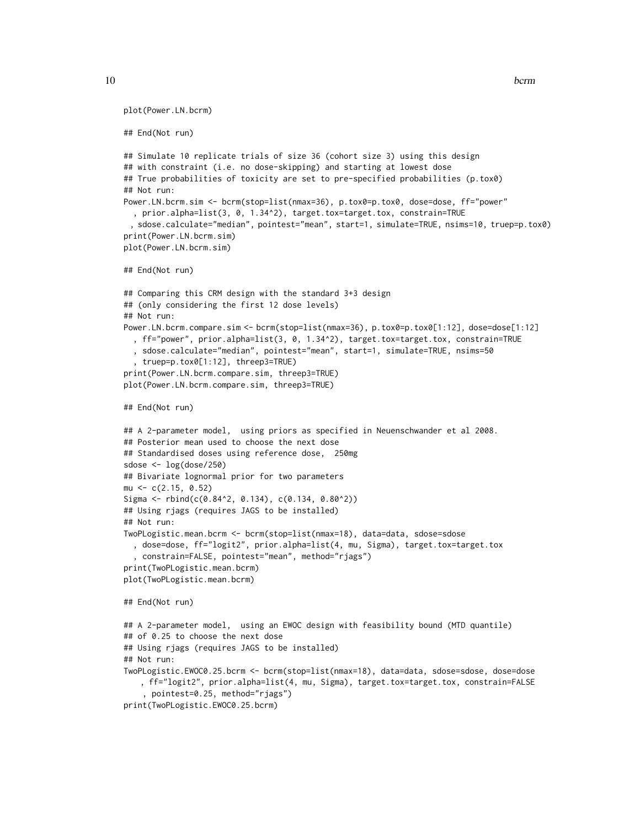```
plot(Power.LN.bcrm)
```

```
## End(Not run)
```

```
## Simulate 10 replicate trials of size 36 (cohort size 3) using this design
## with constraint (i.e. no dose-skipping) and starting at lowest dose
## True probabilities of toxicity are set to pre-specified probabilities (p.tox0)
## Not run:
Power.LN.bcrm.sim <- bcrm(stop=list(nmax=36), p.tox0=p.tox0, dose=dose, ff="power"
  , prior.alpha=list(3, 0, 1.34^2), target.tox=target.tox, constrain=TRUE
 , sdose.calculate="median", pointest="mean", start=1, simulate=TRUE, nsims=10, truep=p.tox0)
print(Power.LN.bcrm.sim)
plot(Power.LN.bcrm.sim)
## End(Not run)
## Comparing this CRM design with the standard 3+3 design
## (only considering the first 12 dose levels)
## Not run:
Power.LN.bcrm.compare.sim <- bcrm(stop=list(nmax=36), p.tox0=p.tox0[1:12], dose=dose[1:12]
  , ff="power", prior.alpha=list(3, 0, 1.34^2), target.tox=target.tox, constrain=TRUE
  , sdose.calculate="median", pointest="mean", start=1, simulate=TRUE, nsims=50
  , truep=p.tox0[1:12], threep3=TRUE)
print(Power.LN.bcrm.compare.sim, threep3=TRUE)
plot(Power.LN.bcrm.compare.sim, threep3=TRUE)
## End(Not run)
## A 2-parameter model, using priors as specified in Neuenschwander et al 2008.
## Posterior mean used to choose the next dose
## Standardised doses using reference dose, 250mg
sdose \leq -\log(\text{dose}/250)## Bivariate lognormal prior for two parameters
mu <- c(2.15, 0.52)
Sigma <- rbind(c(0.84^2, 0.134), c(0.134, 0.80^2))## Using rjags (requires JAGS to be installed)
## Not run:
TwoPLogistic.mean.bcrm <- bcrm(stop=list(nmax=18), data=data, sdose=sdose
  , dose=dose, ff="logit2", prior.alpha=list(4, mu, Sigma), target.tox=target.tox
  , constrain=FALSE, pointest="mean", method="rjags")
print(TwoPLogistic.mean.bcrm)
plot(TwoPLogistic.mean.bcrm)
## End(Not run)
## A 2-parameter model, using an EWOC design with feasibility bound (MTD quantile)
## of 0.25 to choose the next dose
## Using rjags (requires JAGS to be installed)
## Not run:
TwoPLogistic.EWOC0.25.bcrm <- bcrm(stop=list(nmax=18), data=data, sdose=sdose, dose=dose
   , ff="logit2", prior.alpha=list(4, mu, Sigma), target.tox=target.tox, constrain=FALSE
    , pointest=0.25, method="rjags")
print(TwoPLogistic.EWOC0.25.bcrm)
```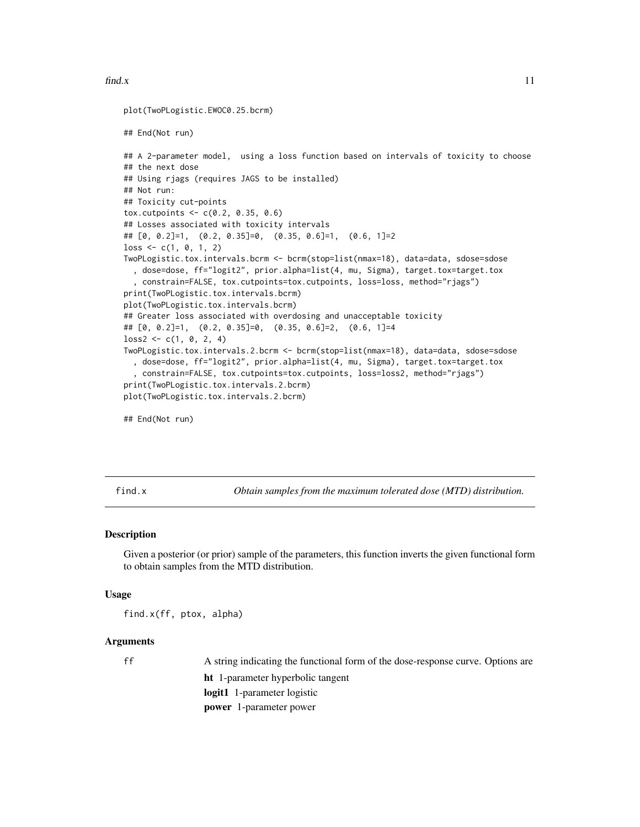#### <span id="page-10-0"></span> $find.x$  11

```
plot(TwoPLogistic.EWOC0.25.bcrm)
## End(Not run)
## A 2-parameter model, using a loss function based on intervals of toxicity to choose
## the next dose
## Using rjags (requires JAGS to be installed)
## Not run:
## Toxicity cut-points
tox.cutpoints <-c(0.2, 0.35, 0.6)## Losses associated with toxicity intervals
## [0, 0.2]=1, (0.2, 0.35]=0, (0.35, 0.6]=1, (0.6, 1]=2
loss \leftarrow c(1, 0, 1, 2)TwoPLogistic.tox.intervals.bcrm <- bcrm(stop=list(nmax=18), data=data, sdose=sdose
  , dose=dose, ff="logit2", prior.alpha=list(4, mu, Sigma), target.tox=target.tox
  , constrain=FALSE, tox.cutpoints=tox.cutpoints, loss=loss, method="rjags")
print(TwoPLogistic.tox.intervals.bcrm)
plot(TwoPLogistic.tox.intervals.bcrm)
## Greater loss associated with overdosing and unacceptable toxicity
## [0, 0.2]=1, (0.2, 0.35]=0, (0.35, 0.6]=2, (0.6, 1]=4
loss2 \leq c(1, 0, 2, 4)TwoPLogistic.tox.intervals.2.bcrm <- bcrm(stop=list(nmax=18), data=data, sdose=sdose
  , dose=dose, ff="logit2", prior.alpha=list(4, mu, Sigma), target.tox=target.tox
   , constrain=FALSE, tox.cutpoints=tox.cutpoints, loss=loss2, method="rjags")
print(TwoPLogistic.tox.intervals.2.bcrm)
plot(TwoPLogistic.tox.intervals.2.bcrm)
```
## End(Not run)

<span id="page-10-1"></span>

find.x *Obtain samples from the maximum tolerated dose (MTD) distribution.*

# **Description**

Given a posterior (or prior) sample of the parameters, this function inverts the given functional form to obtain samples from the MTD distribution.

#### Usage

find.x(ff, ptox, alpha)

# Arguments

ff A string indicating the functional form of the dose-response curve. Options are ht 1-parameter hyperbolic tangent logit1 1-parameter logistic power 1-parameter power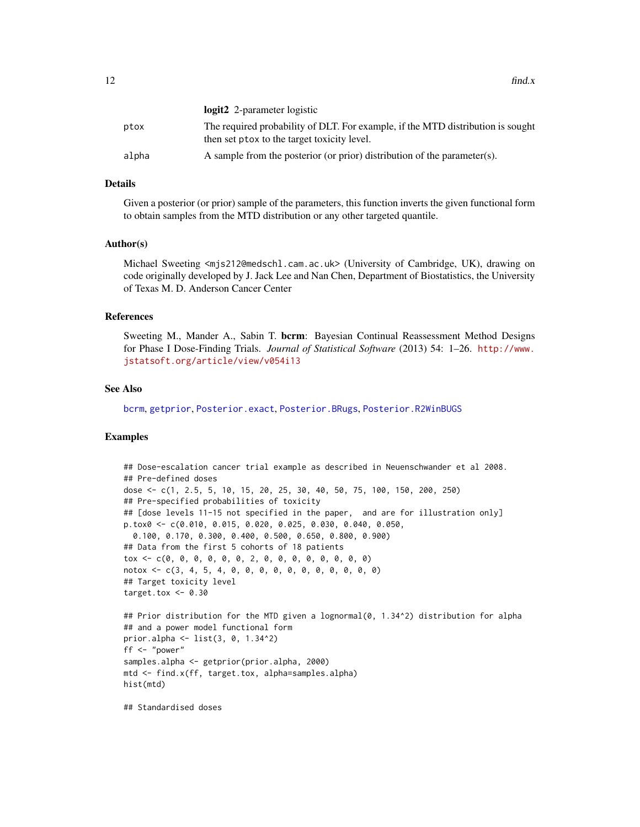<span id="page-11-0"></span>

|       | <b>logit2</b> 2-parameter logistic                                                                                             |
|-------|--------------------------------------------------------------------------------------------------------------------------------|
| ptox  | The required probability of DLT. For example, if the MTD distribution is sought<br>then set ptox to the target toxicity level. |
| alpha | A sample from the posterior (or prior) distribution of the parameter(s).                                                       |

# Details

Given a posterior (or prior) sample of the parameters, this function inverts the given functional form to obtain samples from the MTD distribution or any other targeted quantile.

#### Author(s)

Michael Sweeting <mjs212@medschl.cam.ac.uk> (University of Cambridge, UK), drawing on code originally developed by J. Jack Lee and Nan Chen, Department of Biostatistics, the University of Texas M. D. Anderson Cancer Center

# References

Sweeting M., Mander A., Sabin T. bcrm: Bayesian Continual Reassessment Method Designs for Phase I Dose-Finding Trials. *Journal of Statistical Software* (2013) 54: 1–26. [http://www.](http://www.jstatsoft.org/article/view/v054i13) [jstatsoft.org/article/view/v054i13](http://www.jstatsoft.org/article/view/v054i13)

# See Also

[bcrm](#page-2-1), [getprior](#page-12-1), [Posterior.exact](#page-18-1), [Posterior.BRugs](#page-16-1), [Posterior.R2WinBUGS](#page-21-1)

# Examples

```
## Dose-escalation cancer trial example as described in Neuenschwander et al 2008.
## Pre-defined doses
dose <- c(1, 2.5, 5, 10, 15, 20, 25, 30, 40, 50, 75, 100, 150, 200, 250)
## Pre-specified probabilities of toxicity
## [dose levels 11-15 not specified in the paper, and are for illustration only]
p.tox0 <- c(0.010, 0.015, 0.020, 0.025, 0.030, 0.040, 0.050,
  0.100, 0.170, 0.300, 0.400, 0.500, 0.650, 0.800, 0.900)
## Data from the first 5 cohorts of 18 patients
tox <- c(0, 0, 0, 0, 0, 0, 2, 0, 0, 0, 0, 0, 0, 0, 0)
notox <- c(3, 4, 5, 4, 0, 0, 0, 0, 0, 0, 0, 0, 0, 0, 0)
## Target toxicity level
target.tox <-0.30## Prior distribution for the MTD given a lognormal(0, 1.34^2) distribution for alpha
## and a power model functional form
prior.alpha <- list(3, 0, 1.34^2)
ff <- "power"
samples.alpha <- getprior(prior.alpha, 2000)
mtd <- find.x(ff, target.tox, alpha=samples.alpha)
hist(mtd)
```
## Standardised doses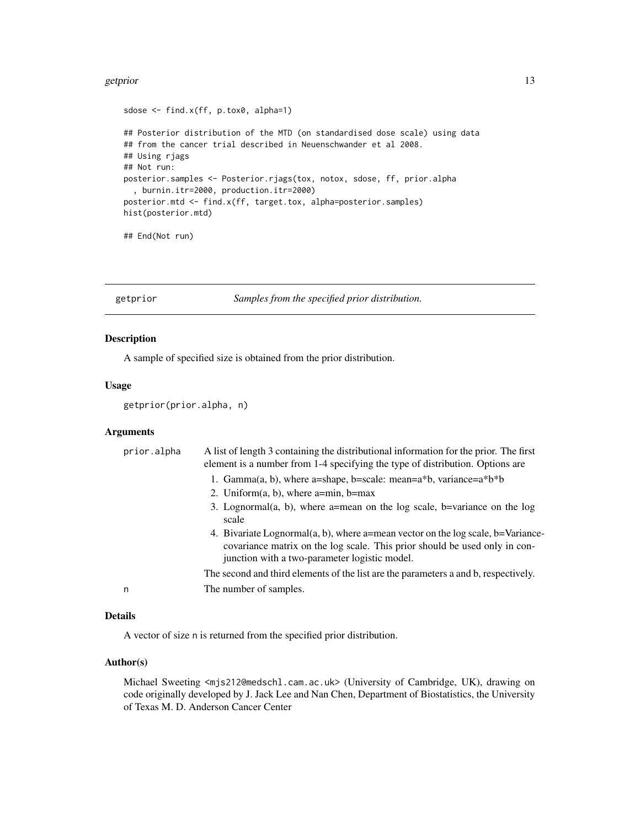#### <span id="page-12-0"></span>getprior that the set of the set of the set of the set of the set of the set of the set of the set of the set of the set of the set of the set of the set of the set of the set of the set of the set of the set of the set of

```
sdose <- find.x(ff, p.tox0, alpha=1)
## Posterior distribution of the MTD (on standardised dose scale) using data
## from the cancer trial described in Neuenschwander et al 2008.
## Using rjags
## Not run:
posterior.samples <- Posterior.rjags(tox, notox, sdose, ff, prior.alpha
  , burnin.itr=2000, production.itr=2000)
posterior.mtd <- find.x(ff, target.tox, alpha=posterior.samples)
hist(posterior.mtd)
```

```
## End(Not run)
```
<span id="page-12-1"></span>getprior *Samples from the specified prior distribution.*

# Description

A sample of specified size is obtained from the prior distribution.

# Usage

getprior(prior.alpha, n)

# **Arguments**

| prior.alpha | A list of length 3 containing the distributional information for the prior. The first<br>element is a number from 1-4 specifying the type of distribution. Options are                                         |
|-------------|----------------------------------------------------------------------------------------------------------------------------------------------------------------------------------------------------------------|
|             | 1. Gamma(a, b), where a=shape, b=scale: mean=a*b, variance=a*b*b                                                                                                                                               |
|             | 2. Uniform $(a, b)$ , where a=min, b=max                                                                                                                                                                       |
|             | 3. Lognormal(a, b), where a=mean on the log scale, b=variance on the log<br>scale                                                                                                                              |
|             | 4. Bivariate Lognormal(a, b), where a=mean vector on the log scale, b=Variance-<br>covariance matrix on the log scale. This prior should be used only in con-<br>junction with a two-parameter logistic model. |
|             | The second and third elements of the list are the parameters a and b, respectively.                                                                                                                            |
| n           | The number of samples.                                                                                                                                                                                         |
|             |                                                                                                                                                                                                                |

# Details

A vector of size n is returned from the specified prior distribution.

# Author(s)

Michael Sweeting <mjs212@medschl.cam.ac.uk> (University of Cambridge, UK), drawing on code originally developed by J. Jack Lee and Nan Chen, Department of Biostatistics, the University of Texas M. D. Anderson Cancer Center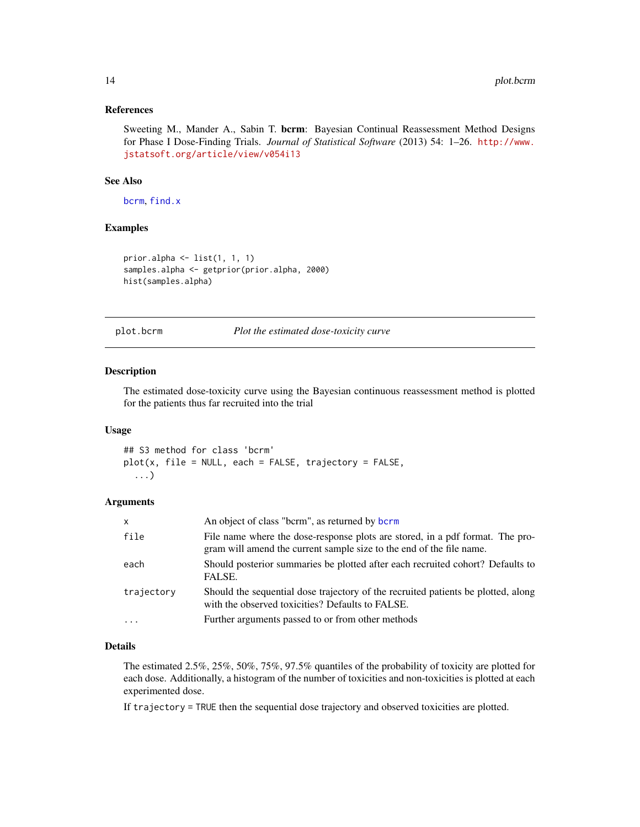# <span id="page-13-0"></span>References

Sweeting M., Mander A., Sabin T. bcrm: Bayesian Continual Reassessment Method Designs for Phase I Dose-Finding Trials. *Journal of Statistical Software* (2013) 54: 1–26. [http://www.](http://www.jstatsoft.org/article/view/v054i13) [jstatsoft.org/article/view/v054i13](http://www.jstatsoft.org/article/view/v054i13)

# See Also

[bcrm](#page-2-1), [find.x](#page-10-1)

# Examples

```
prior.alpha <- list(1, 1, 1)
samples.alpha <- getprior(prior.alpha, 2000)
hist(samples.alpha)
```
<span id="page-13-1"></span>plot.bcrm *Plot the estimated dose-toxicity curve*

#### Description

The estimated dose-toxicity curve using the Bayesian continuous reassessment method is plotted for the patients thus far recruited into the trial

# Usage

## S3 method for class 'bcrm'  $plot(x, file = NULL, each = FALSE, trajectory = FALSE,$ ...)

#### Arguments

| $\mathsf{x}$ | An object of class "bcrm", as returned by bcrm                                                                                                        |
|--------------|-------------------------------------------------------------------------------------------------------------------------------------------------------|
| file         | File name where the dose-response plots are stored, in a pdf format. The pro-<br>gram will amend the current sample size to the end of the file name. |
| each         | Should posterior summaries be plotted after each recruited cohort? Defaults to<br>FALSE.                                                              |
| trajectory   | Should the sequential dose trajectory of the recruited patients be plotted, along<br>with the observed toxicities? Defaults to FALSE.                 |
| $\cdot$      | Further arguments passed to or from other methods                                                                                                     |

# Details

The estimated 2.5%, 25%, 50%, 75%, 97.5% quantiles of the probability of toxicity are plotted for each dose. Additionally, a histogram of the number of toxicities and non-toxicities is plotted at each experimented dose.

If trajectory = TRUE then the sequential dose trajectory and observed toxicities are plotted.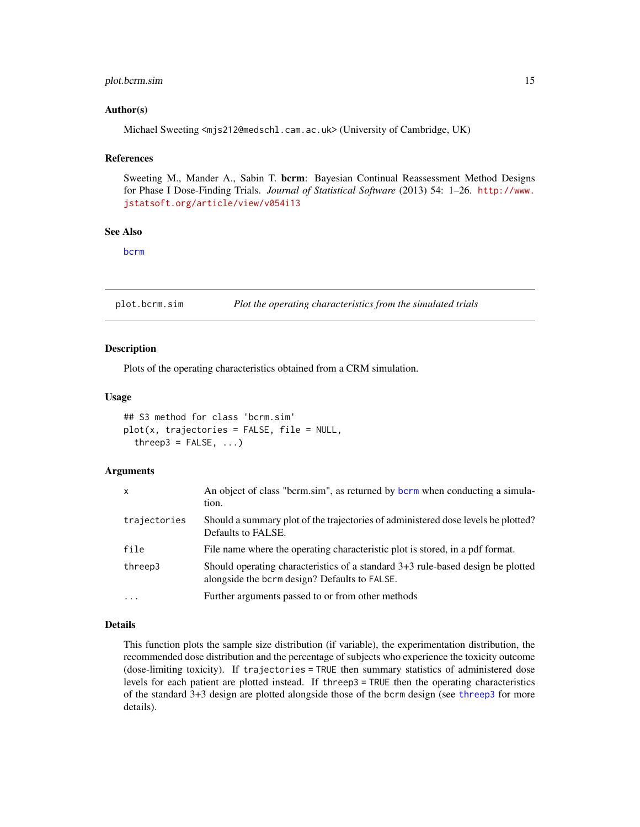# <span id="page-14-0"></span>plot.bcrm.sim 15

# Author(s)

Michael Sweeting <mjs212@medschl.cam.ac.uk> (University of Cambridge, UK)

#### **References**

Sweeting M., Mander A., Sabin T. bcrm: Bayesian Continual Reassessment Method Designs for Phase I Dose-Finding Trials. *Journal of Statistical Software* (2013) 54: 1–26. [http://www.](http://www.jstatsoft.org/article/view/v054i13) [jstatsoft.org/article/view/v054i13](http://www.jstatsoft.org/article/view/v054i13)

# See Also

[bcrm](#page-2-1)

<span id="page-14-1"></span>plot.bcrm.sim *Plot the operating characteristics from the simulated trials*

# Description

Plots of the operating characteristics obtained from a CRM simulation.

## Usage

```
## S3 method for class 'bcrm.sim'
plot(x, trajectories = FALSE, file = NULL,
  threep3 = FALSE, ...)
```
#### Arguments

| X            | An object of class "bcrm.sim", as returned by bcrm when conducting a simula-<br>tion.                                            |
|--------------|----------------------------------------------------------------------------------------------------------------------------------|
| trajectories | Should a summary plot of the trajectories of administered dose levels be plotted?<br>Defaults to FALSE.                          |
| file         | File name where the operating characteristic plot is stored, in a pdf format.                                                    |
| threep3      | Should operating characteristics of a standard 3+3 rule-based design be plotted<br>alongside the bcrm design? Defaults to FALSE. |
| $\cdot$      | Further arguments passed to or from other methods                                                                                |

#### Details

This function plots the sample size distribution (if variable), the experimentation distribution, the recommended dose distribution and the percentage of subjects who experience the toxicity outcome (dose-limiting toxicity). If trajectories = TRUE then summary statistics of administered dose levels for each patient are plotted instead. If threep3 = TRUE then the operating characteristics of the standard 3+3 design are plotted alongside those of the bcrm design (see [threep3](#page-28-1) for more details).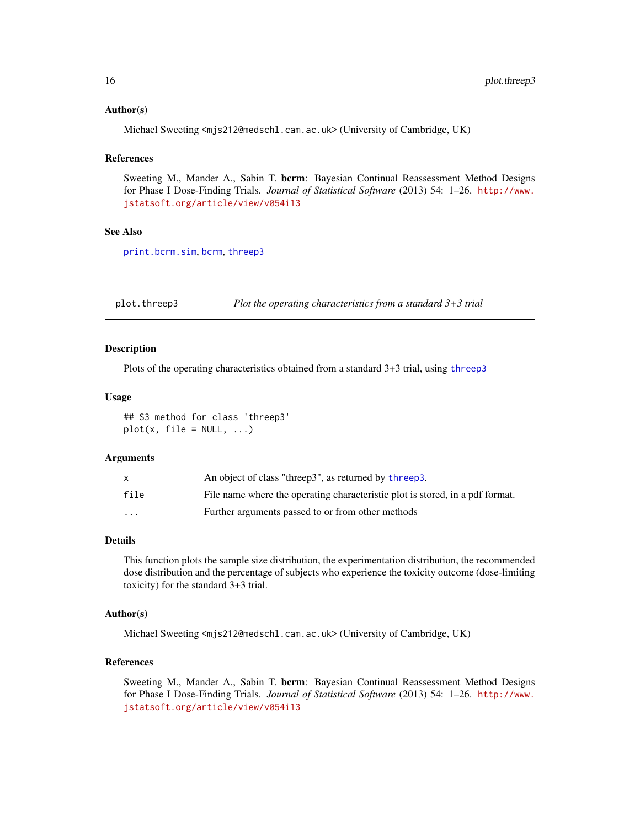# <span id="page-15-0"></span>Author(s)

Michael Sweeting <mjs212@medschl.cam.ac.uk> (University of Cambridge, UK)

#### **References**

Sweeting M., Mander A., Sabin T. bcrm: Bayesian Continual Reassessment Method Designs for Phase I Dose-Finding Trials. *Journal of Statistical Software* (2013) 54: 1–26. [http://www.](http://www.jstatsoft.org/article/view/v054i13) [jstatsoft.org/article/view/v054i13](http://www.jstatsoft.org/article/view/v054i13)

# See Also

[print.bcrm.sim](#page-25-2), [bcrm](#page-2-1), [threep3](#page-28-1)

<span id="page-15-1"></span>plot.threep3 *Plot the operating characteristics from a standard 3+3 trial*

#### Description

Plots of the operating characteristics obtained from a standard 3+3 trial, using [threep3](#page-28-1)

### Usage

## S3 method for class 'threep3'  $plot(x, file = NULL, ...)$ 

# Arguments

|          | An object of class "threep3", as returned by threep3.                         |
|----------|-------------------------------------------------------------------------------|
| file     | File name where the operating characteristic plot is stored, in a pdf format. |
| $\cdots$ | Further arguments passed to or from other methods                             |

# Details

This function plots the sample size distribution, the experimentation distribution, the recommended dose distribution and the percentage of subjects who experience the toxicity outcome (dose-limiting toxicity) for the standard 3+3 trial.

# Author(s)

Michael Sweeting <mjs212@medschl.cam.ac.uk> (University of Cambridge, UK)

# References

Sweeting M., Mander A., Sabin T. bcrm: Bayesian Continual Reassessment Method Designs for Phase I Dose-Finding Trials. *Journal of Statistical Software* (2013) 54: 1–26. [http://www.](http://www.jstatsoft.org/article/view/v054i13) [jstatsoft.org/article/view/v054i13](http://www.jstatsoft.org/article/view/v054i13)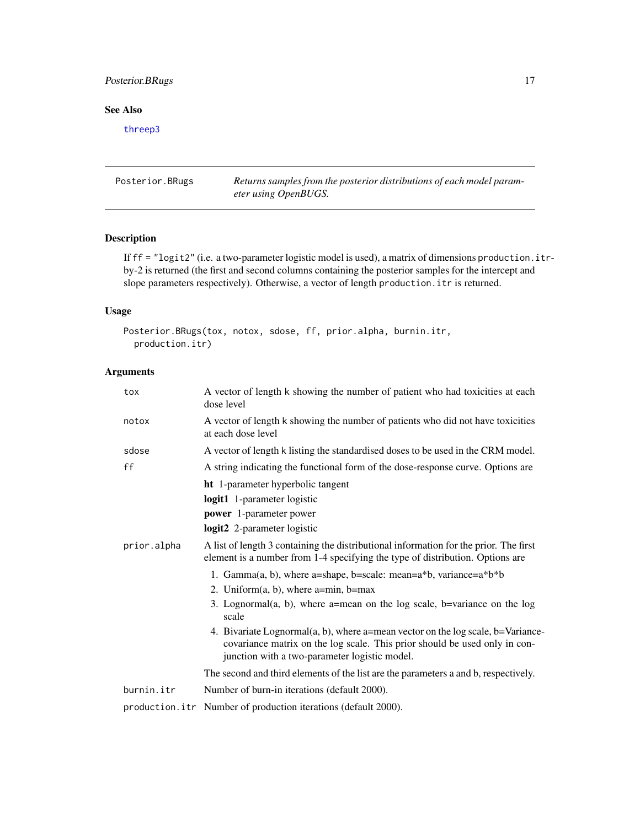# <span id="page-16-0"></span>Posterior.BRugs 17

# See Also

[threep3](#page-28-1)

<span id="page-16-1"></span>Posterior.BRugs *Returns samples from the posterior distributions of each model parameter using OpenBUGS.*

# Description

If ff = "logit2" (i.e. a two-parameter logistic model is used), a matrix of dimensions production.itrby-2 is returned (the first and second columns containing the posterior samples for the intercept and slope parameters respectively). Otherwise, a vector of length production.itr is returned.

# Usage

```
Posterior.BRugs(tox, notox, sdose, ff, prior.alpha, burnin.itr,
 production.itr)
```
# Arguments

| tox         | A vector of length k showing the number of patient who had toxicities at each<br>dose level                                                                                                                    |
|-------------|----------------------------------------------------------------------------------------------------------------------------------------------------------------------------------------------------------------|
| notox       | A vector of length k showing the number of patients who did not have toxicities<br>at each dose level                                                                                                          |
| sdose       | A vector of length k listing the standardised doses to be used in the CRM model.                                                                                                                               |
| ff          | A string indicating the functional form of the dose-response curve. Options are                                                                                                                                |
|             | ht 1-parameter hyperbolic tangent<br>logit1 1-parameter logistic<br><b>power</b> 1-parameter power<br>logit2 2-parameter logistic                                                                              |
| prior.alpha | A list of length 3 containing the distributional information for the prior. The first<br>element is a number from 1-4 specifying the type of distribution. Options are                                         |
|             | 1. Gamma(a, b), where a=shape, b=scale: mean=a*b, variance=a*b*b                                                                                                                                               |
|             | 2. Uniform $(a, b)$ , where a=min, b=max                                                                                                                                                                       |
|             | 3. Lognormal $(a, b)$ , where a=mean on the log scale, b=variance on the log<br>scale                                                                                                                          |
|             | 4. Bivariate Lognormal(a, b), where a=mean vector on the log scale, b=Variance-<br>covariance matrix on the log scale. This prior should be used only in con-<br>junction with a two-parameter logistic model. |
|             | The second and third elements of the list are the parameters a and b, respectively.                                                                                                                            |
| burnin.itr  | Number of burn-in iterations (default 2000).                                                                                                                                                                   |
|             | production.itr Number of production iterations (default 2000).                                                                                                                                                 |
|             |                                                                                                                                                                                                                |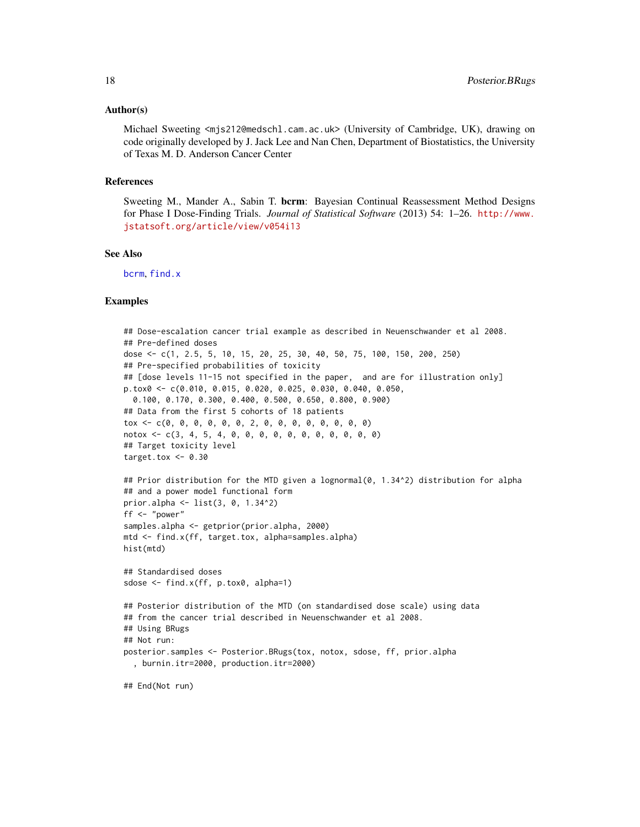#### <span id="page-17-0"></span>Author(s)

Michael Sweeting <mjs212@medschl.cam.ac.uk> (University of Cambridge, UK), drawing on code originally developed by J. Jack Lee and Nan Chen, Department of Biostatistics, the University of Texas M. D. Anderson Cancer Center

#### References

Sweeting M., Mander A., Sabin T. bcrm: Bayesian Continual Reassessment Method Designs for Phase I Dose-Finding Trials. *Journal of Statistical Software* (2013) 54: 1–26. [http://www.](http://www.jstatsoft.org/article/view/v054i13) [jstatsoft.org/article/view/v054i13](http://www.jstatsoft.org/article/view/v054i13)

# See Also

[bcrm](#page-2-1), [find.x](#page-10-1)

# Examples

```
## Dose-escalation cancer trial example as described in Neuenschwander et al 2008.
## Pre-defined doses
dose <- c(1, 2.5, 5, 10, 15, 20, 25, 30, 40, 50, 75, 100, 150, 200, 250)
## Pre-specified probabilities of toxicity
## [dose levels 11-15 not specified in the paper, and are for illustration only]
p.tox0 <- c(0.010, 0.015, 0.020, 0.025, 0.030, 0.040, 0.050,
  0.100, 0.170, 0.300, 0.400, 0.500, 0.650, 0.800, 0.900)
## Data from the first 5 cohorts of 18 patients
tox <- c(0, 0, 0, 0, 0, 0, 2, 0, 0, 0, 0, 0, 0, 0, 0)
notox <- c(3, 4, 5, 4, 0, 0, 0, 0, 0, 0, 0, 0, 0, 0, 0)
## Target toxicity level
target.tox <-0.30## Prior distribution for the MTD given a lognormal(0, 1.34^2) distribution for alpha
## and a power model functional form
prior.alpha <- list(3, 0, 1.34^2)
ff <- "power"
samples.alpha <- getprior(prior.alpha, 2000)
mtd <- find.x(ff, target.tox, alpha=samples.alpha)
hist(mtd)
## Standardised doses
sdose <- find.x(ff, p.tox0, alpha=1)
## Posterior distribution of the MTD (on standardised dose scale) using data
## from the cancer trial described in Neuenschwander et al 2008.
## Using BRugs
## Not run:
posterior.samples <- Posterior.BRugs(tox, notox, sdose, ff, prior.alpha
  , burnin.itr=2000, production.itr=2000)
## End(Not run)
```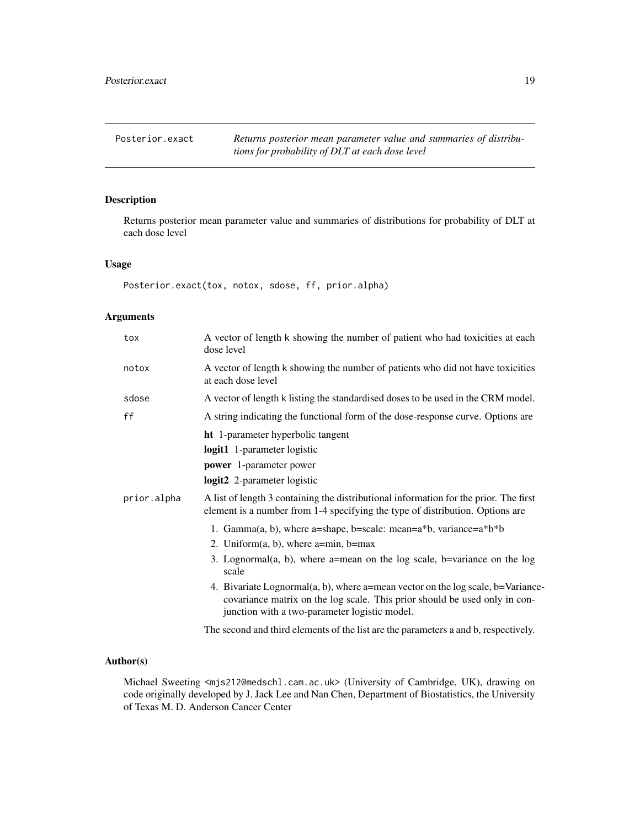<span id="page-18-1"></span><span id="page-18-0"></span>Posterior.exact Returns posterior mean parameter value and summaries of distribu*tions for probability of DLT at each dose level*

# Description

Returns posterior mean parameter value and summaries of distributions for probability of DLT at each dose level

# Usage

Posterior.exact(tox, notox, sdose, ff, prior.alpha)

# Arguments

| tox         | A vector of length k showing the number of patient who had toxicities at each<br>dose level                                                                                                                                                                                                                                                                                                                                       |
|-------------|-----------------------------------------------------------------------------------------------------------------------------------------------------------------------------------------------------------------------------------------------------------------------------------------------------------------------------------------------------------------------------------------------------------------------------------|
| notox       | A vector of length k showing the number of patients who did not have toxicities<br>at each dose level                                                                                                                                                                                                                                                                                                                             |
| sdose       | A vector of length k listing the standardised doses to be used in the CRM model.                                                                                                                                                                                                                                                                                                                                                  |
| ff          | A string indicating the functional form of the dose-response curve. Options are                                                                                                                                                                                                                                                                                                                                                   |
|             | <b>ht</b> 1-parameter hyperbolic tangent<br>logit1 1-parameter logistic<br><b>power</b> 1-parameter power<br>logit2 2-parameter logistic                                                                                                                                                                                                                                                                                          |
| prior.alpha | A list of length 3 containing the distributional information for the prior. The first<br>element is a number from 1-4 specifying the type of distribution. Options are                                                                                                                                                                                                                                                            |
|             | 1. Gamma(a, b), where a=shape, b=scale: mean= $a^*b$ , variance= $a^*b^*b$<br>2. Uniform $(a, b)$ , where a=min, b=max<br>3. Lognormal $(a, b)$ , where a=mean on the log scale, b=variance on the log<br>scale<br>4. Bivariate Lognormal(a, b), where a=mean vector on the log scale, b=Variance-<br>covariance matrix on the log scale. This prior should be used only in con-<br>junction with a two-parameter logistic model. |
|             |                                                                                                                                                                                                                                                                                                                                                                                                                                   |

The second and third elements of the list are the parameters a and b, respectively.

# Author(s)

Michael Sweeting <mjs212@medschl.cam.ac.uk> (University of Cambridge, UK), drawing on code originally developed by J. Jack Lee and Nan Chen, Department of Biostatistics, the University of Texas M. D. Anderson Cancer Center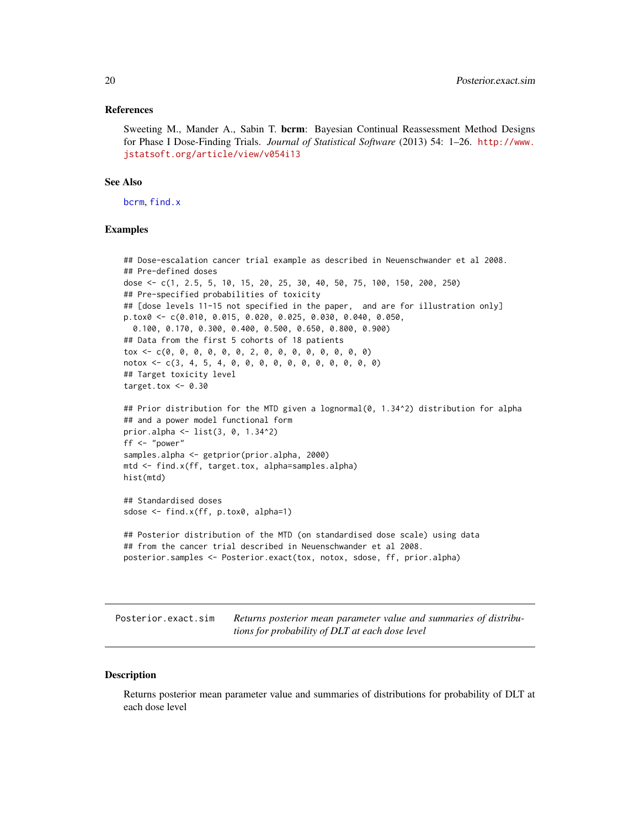#### <span id="page-19-0"></span>References

Sweeting M., Mander A., Sabin T. berm: Bayesian Continual Reassessment Method Designs for Phase I Dose-Finding Trials. *Journal of Statistical Software* (2013) 54: 1–26. [http://www.](http://www.jstatsoft.org/article/view/v054i13) [jstatsoft.org/article/view/v054i13](http://www.jstatsoft.org/article/view/v054i13)

#### See Also

[bcrm](#page-2-1), [find.x](#page-10-1)

# Examples

```
## Dose-escalation cancer trial example as described in Neuenschwander et al 2008.
## Pre-defined doses
dose <- c(1, 2.5, 5, 10, 15, 20, 25, 30, 40, 50, 75, 100, 150, 200, 250)
## Pre-specified probabilities of toxicity
## [dose levels 11-15 not specified in the paper, and are for illustration only]
p.tox0 <- c(0.010, 0.015, 0.020, 0.025, 0.030, 0.040, 0.050,
 0.100, 0.170, 0.300, 0.400, 0.500, 0.650, 0.800, 0.900)
## Data from the first 5 cohorts of 18 patients
tox <- c(0, 0, 0, 0, 0, 0, 2, 0, 0, 0, 0, 0, 0, 0, 0)
notox <- c(3, 4, 5, 4, 0, 0, 0, 0, 0, 0, 0, 0, 0, 0, 0)
## Target toxicity level
target.tox <-0.30## Prior distribution for the MTD given a lognormal(0, 1.34^2) distribution for alpha
## and a power model functional form
prior.alpha <- list(3, 0, 1.34^2)
ff <- "power"
samples.alpha <- getprior(prior.alpha, 2000)
mtd <- find.x(ff, target.tox, alpha=samples.alpha)
hist(mtd)
## Standardised doses
sdose <- find.x(ff, p.tox0, alpha=1)
## Posterior distribution of the MTD (on standardised dose scale) using data
## from the cancer trial described in Neuenschwander et al 2008.
posterior.samples <- Posterior.exact(tox, notox, sdose, ff, prior.alpha)
```
Posterior.exact.sim *Returns posterior mean parameter value and summaries of distributions for probability of DLT at each dose level*

#### **Description**

Returns posterior mean parameter value and summaries of distributions for probability of DLT at each dose level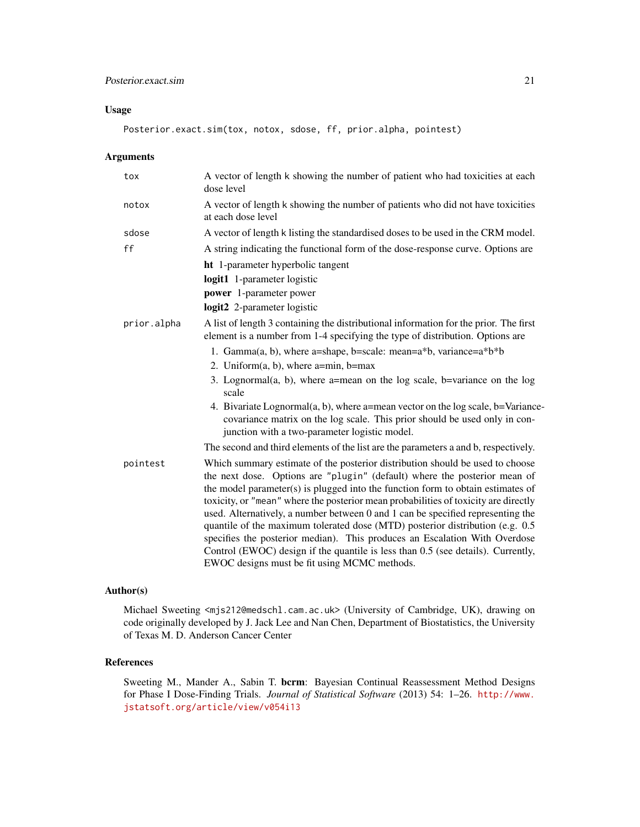# Usage

Posterior.exact.sim(tox, notox, sdose, ff, prior.alpha, pointest)

# Arguments

| tox         | A vector of length k showing the number of patient who had toxicities at each<br>dose level                                                                                                                                                                                                                                                                                                                                                                                                                                                                                                                                                                                                                                |
|-------------|----------------------------------------------------------------------------------------------------------------------------------------------------------------------------------------------------------------------------------------------------------------------------------------------------------------------------------------------------------------------------------------------------------------------------------------------------------------------------------------------------------------------------------------------------------------------------------------------------------------------------------------------------------------------------------------------------------------------------|
| notox       | A vector of length k showing the number of patients who did not have toxicities<br>at each dose level                                                                                                                                                                                                                                                                                                                                                                                                                                                                                                                                                                                                                      |
| sdose       | A vector of length k listing the standardised doses to be used in the CRM model.                                                                                                                                                                                                                                                                                                                                                                                                                                                                                                                                                                                                                                           |
| ff          | A string indicating the functional form of the dose-response curve. Options are                                                                                                                                                                                                                                                                                                                                                                                                                                                                                                                                                                                                                                            |
|             | <b>ht</b> 1-parameter hyperbolic tangent<br>logit1 1-parameter logistic                                                                                                                                                                                                                                                                                                                                                                                                                                                                                                                                                                                                                                                    |
|             | power 1-parameter power<br>logit2 2-parameter logistic                                                                                                                                                                                                                                                                                                                                                                                                                                                                                                                                                                                                                                                                     |
| prior.alpha | A list of length 3 containing the distributional information for the prior. The first<br>element is a number from 1-4 specifying the type of distribution. Options are                                                                                                                                                                                                                                                                                                                                                                                                                                                                                                                                                     |
|             | 1. Gamma $(a, b)$ , where a=shape, b=scale: mean=a*b, variance=a*b*b<br>2. Uniform $(a, b)$ , where a=min, b=max<br>3. Lognormal $(a, b)$ , where a=mean on the log scale, b=variance on the log<br>scale<br>4. Bivariate Lognormal(a, b), where a=mean vector on the log scale, b=Variance-<br>covariance matrix on the log scale. This prior should be used only in con-<br>junction with a two-parameter logistic model.                                                                                                                                                                                                                                                                                                |
|             | The second and third elements of the list are the parameters a and b, respectively.                                                                                                                                                                                                                                                                                                                                                                                                                                                                                                                                                                                                                                        |
| pointest    | Which summary estimate of the posterior distribution should be used to choose<br>the next dose. Options are "plugin" (default) where the posterior mean of<br>the model parameter(s) is plugged into the function form to obtain estimates of<br>toxicity, or "mean" where the posterior mean probabilities of toxicity are directly<br>used. Alternatively, a number between 0 and 1 can be specified representing the<br>quantile of the maximum tolerated dose (MTD) posterior distribution (e.g. 0.5<br>specifies the posterior median). This produces an Escalation With Overdose<br>Control (EWOC) design if the quantile is less than 0.5 (see details). Currently,<br>EWOC designs must be fit using MCMC methods. |

# Author(s)

Michael Sweeting <mjs212@medschl.cam.ac.uk> (University of Cambridge, UK), drawing on code originally developed by J. Jack Lee and Nan Chen, Department of Biostatistics, the University of Texas M. D. Anderson Cancer Center

# References

Sweeting M., Mander A., Sabin T. bcrm: Bayesian Continual Reassessment Method Designs for Phase I Dose-Finding Trials. *Journal of Statistical Software* (2013) 54: 1–26. [http://www.](http://www.jstatsoft.org/article/view/v054i13) [jstatsoft.org/article/view/v054i13](http://www.jstatsoft.org/article/view/v054i13)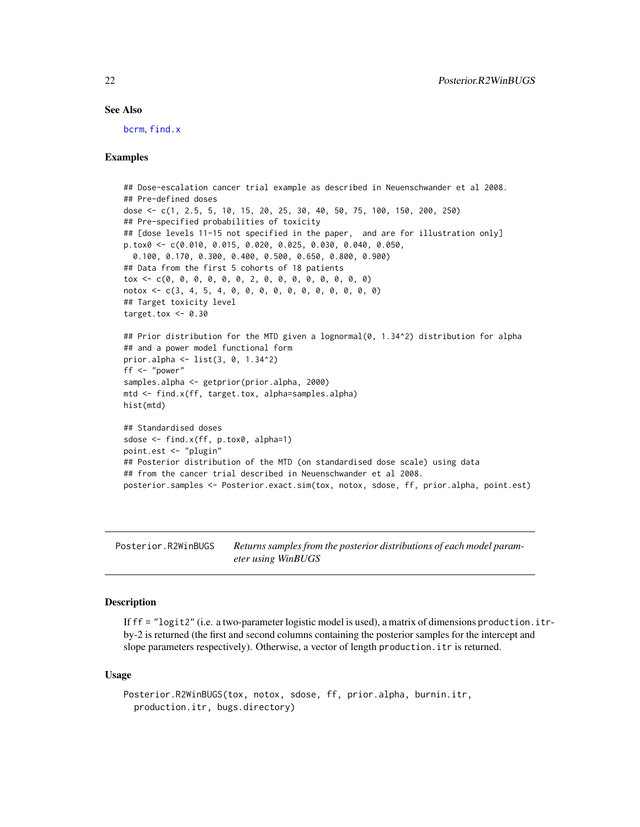### See Also

[bcrm](#page-2-1), [find.x](#page-10-1)

# Examples

```
## Dose-escalation cancer trial example as described in Neuenschwander et al 2008.
## Pre-defined doses
dose <- c(1, 2.5, 5, 10, 15, 20, 25, 30, 40, 50, 75, 100, 150, 200, 250)
## Pre-specified probabilities of toxicity
## [dose levels 11-15 not specified in the paper, and are for illustration only]
p.tox0 <- c(0.010, 0.015, 0.020, 0.025, 0.030, 0.040, 0.050,
  0.100, 0.170, 0.300, 0.400, 0.500, 0.650, 0.800, 0.900)
## Data from the first 5 cohorts of 18 patients
tox <- c(0, 0, 0, 0, 0, 0, 2, 0, 0, 0, 0, 0, 0, 0, 0)
notox <- c(3, 4, 5, 4, 0, 0, 0, 0, 0, 0, 0, 0, 0, 0, 0)
## Target toxicity level
target.tox <-0.30## Prior distribution for the MTD given a lognormal(0, 1.34^2) distribution for alpha
## and a power model functional form
prior.alpha <- list(3, 0, 1.34^2)
ff \leq "power"
samples.alpha <- getprior(prior.alpha, 2000)
mtd <- find.x(ff, target.tox, alpha=samples.alpha)
hist(mtd)
## Standardised doses
sdose <- find.x(ff, p.tox0, alpha=1)
point.est <- "plugin"
## Posterior distribution of the MTD (on standardised dose scale) using data
## from the cancer trial described in Neuenschwander et al 2008.
posterior.samples <- Posterior.exact.sim(tox, notox, sdose, ff, prior.alpha, point.est)
```
<span id="page-21-1"></span>Posterior.R2WinBUGS *Returns samples from the posterior distributions of each model parameter using WinBUGS*

# **Description**

If  $ff =$  "logit2" (i.e. a two-parameter logistic model is used), a matrix of dimensions production. it rby-2 is returned (the first and second columns containing the posterior samples for the intercept and slope parameters respectively). Otherwise, a vector of length production.itr is returned.

#### Usage

```
Posterior.R2WinBUGS(tox, notox, sdose, ff, prior.alpha, burnin.itr,
 production.itr, bugs.directory)
```
<span id="page-21-0"></span>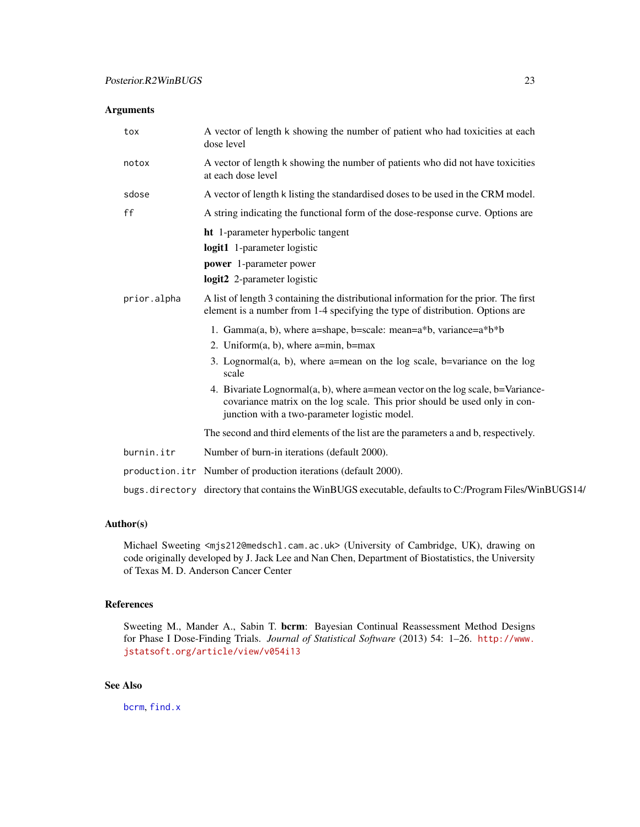# <span id="page-22-0"></span>Arguments

| tox         | A vector of length k showing the number of patient who had toxicities at each<br>dose level                                                                                                                    |
|-------------|----------------------------------------------------------------------------------------------------------------------------------------------------------------------------------------------------------------|
| notox       | A vector of length k showing the number of patients who did not have toxicities<br>at each dose level                                                                                                          |
| sdose       | A vector of length k listing the standardised doses to be used in the CRM model.                                                                                                                               |
| ff          | A string indicating the functional form of the dose-response curve. Options are                                                                                                                                |
|             | ht 1-parameter hyperbolic tangent                                                                                                                                                                              |
|             | logit1 1-parameter logistic                                                                                                                                                                                    |
|             | power 1-parameter power                                                                                                                                                                                        |
|             | logit2 2-parameter logistic                                                                                                                                                                                    |
| prior.alpha | A list of length 3 containing the distributional information for the prior. The first<br>element is a number from 1-4 specifying the type of distribution. Options are                                         |
|             | 1. Gamma(a, b), where a=shape, b=scale: mean=a*b, variance=a*b*b                                                                                                                                               |
|             | 2. Uniform $(a, b)$ , where a=min, b=max                                                                                                                                                                       |
|             | 3. Lognormal $(a, b)$ , where a=mean on the log scale, b=variance on the log<br>scale                                                                                                                          |
|             | 4. Bivariate Lognormal(a, b), where a=mean vector on the log scale, b=Variance-<br>covariance matrix on the log scale. This prior should be used only in con-<br>junction with a two-parameter logistic model. |
|             | The second and third elements of the list are the parameters a and b, respectively.                                                                                                                            |
| burnin.itr  | Number of burn-in iterations (default 2000).                                                                                                                                                                   |
|             | production.itr Number of production iterations (default 2000).                                                                                                                                                 |
|             | bugs.directory directory that contains the WinBUGS executable, defaults to C:/Program Files/WinBUGS14/                                                                                                         |

# Author(s)

Michael Sweeting <mjs212@medschl.cam.ac.uk> (University of Cambridge, UK), drawing on code originally developed by J. Jack Lee and Nan Chen, Department of Biostatistics, the University of Texas M. D. Anderson Cancer Center

# References

Sweeting M., Mander A., Sabin T. bcrm: Bayesian Continual Reassessment Method Designs for Phase I Dose-Finding Trials. *Journal of Statistical Software* (2013) 54: 1–26. [http://www.](http://www.jstatsoft.org/article/view/v054i13) [jstatsoft.org/article/view/v054i13](http://www.jstatsoft.org/article/view/v054i13)

# See Also

[bcrm](#page-2-1), [find.x](#page-10-1)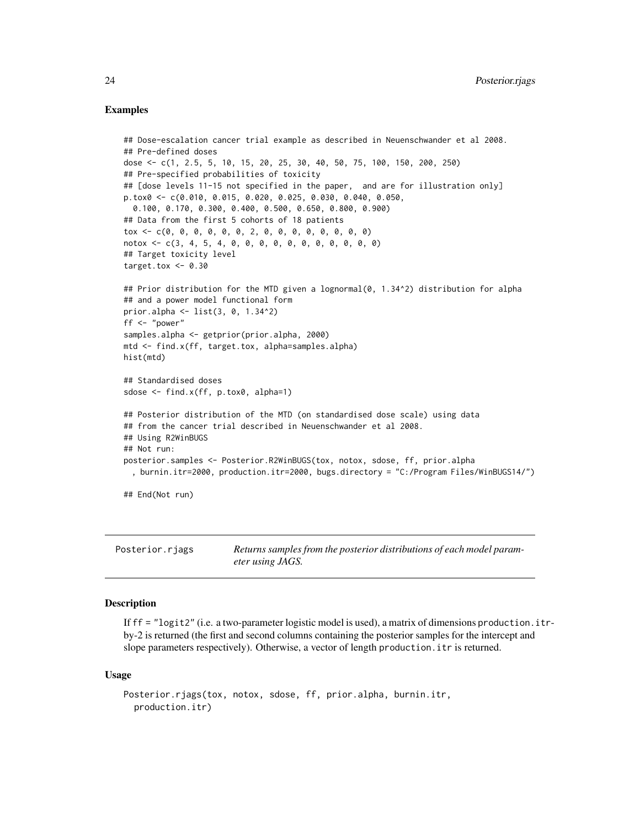# <span id="page-23-0"></span>Examples

```
## Dose-escalation cancer trial example as described in Neuenschwander et al 2008.
## Pre-defined doses
dose <- c(1, 2.5, 5, 10, 15, 20, 25, 30, 40, 50, 75, 100, 150, 200, 250)
## Pre-specified probabilities of toxicity
## [dose levels 11-15 not specified in the paper, and are for illustration only]
p.tox0 <- c(0.010, 0.015, 0.020, 0.025, 0.030, 0.040, 0.050,
 0.100, 0.170, 0.300, 0.400, 0.500, 0.650, 0.800, 0.900)
## Data from the first 5 cohorts of 18 patients
tox <- c(0, 0, 0, 0, 0, 0, 2, 0, 0, 0, 0, 0, 0, 0, 0)
notox <- c(3, 4, 5, 4, 0, 0, 0, 0, 0, 0, 0, 0, 0, 0, 0)
## Target toxicity level
target.tox <-0.30## Prior distribution for the MTD given a lognormal(0, 1.34^2) distribution for alpha
## and a power model functional form
prior.alpha <- list(3, 0, 1.34^2)
ff <- "power"
samples.alpha <- getprior(prior.alpha, 2000)
mtd <- find.x(ff, target.tox, alpha=samples.alpha)
hist(mtd)
## Standardised doses
sdose <- find.x(ff, p.tox0, alpha=1)
## Posterior distribution of the MTD (on standardised dose scale) using data
## from the cancer trial described in Neuenschwander et al 2008.
## Using R2WinBUGS
## Not run:
posterior.samples <- Posterior.R2WinBUGS(tox, notox, sdose, ff, prior.alpha
 , burnin.itr=2000, production.itr=2000, bugs.directory = "C:/Program Files/WinBUGS14/")
## End(Not run)
```
Posterior.rjags *Returns samples from the posterior distributions of each model parameter using JAGS.*

# Description

If  $ff =$  "logit2" (i.e. a two-parameter logistic model is used), a matrix of dimensions production. itrby-2 is returned (the first and second columns containing the posterior samples for the intercept and slope parameters respectively). Otherwise, a vector of length production.itr is returned.

#### Usage

```
Posterior.rjags(tox, notox, sdose, ff, prior.alpha, burnin.itr,
 production.itr)
```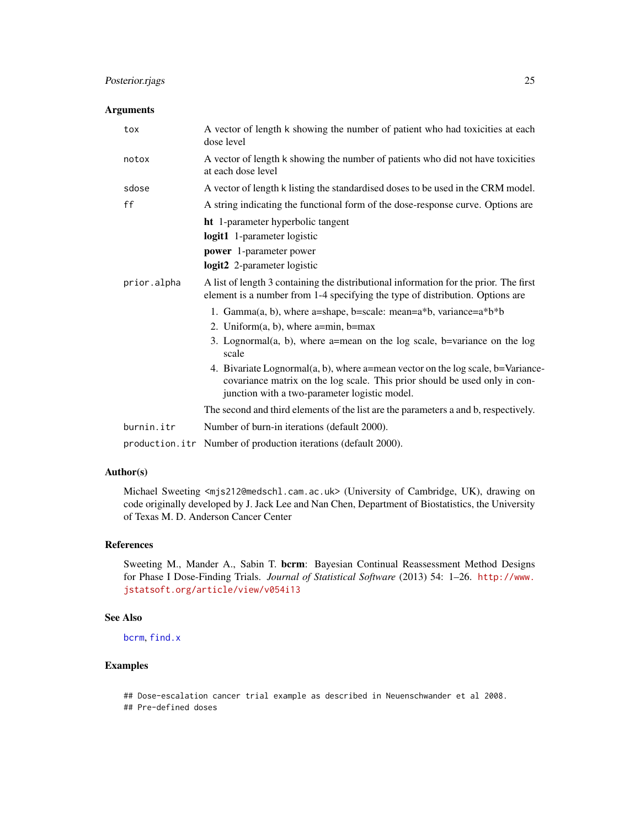# <span id="page-24-0"></span>Posterior.rjags 25

# Arguments

| tox         | A vector of length k showing the number of patient who had toxicities at each<br>dose level                                                                                                                    |
|-------------|----------------------------------------------------------------------------------------------------------------------------------------------------------------------------------------------------------------|
| notox       | A vector of length k showing the number of patients who did not have toxicities<br>at each dose level                                                                                                          |
| sdose       | A vector of length k listing the standardised doses to be used in the CRM model.                                                                                                                               |
| ff          | A string indicating the functional form of the dose-response curve. Options are                                                                                                                                |
|             | <b>ht</b> 1-parameter hyperbolic tangent<br>logit1 1-parameter logistic<br>power 1-parameter power<br>logit2 2-parameter logistic                                                                              |
| prior.alpha | A list of length 3 containing the distributional information for the prior. The first<br>element is a number from 1-4 specifying the type of distribution. Options are                                         |
|             | 1. Gamma $(a, b)$ , where a=shape, b=scale: mean=a*b, variance=a*b*b                                                                                                                                           |
|             | 2. Uniform $(a, b)$ , where a=min, b=max                                                                                                                                                                       |
|             | 3. Lognormal(a, b), where a=mean on the log scale, b=variance on the log<br>scale                                                                                                                              |
|             | 4. Bivariate Lognormal(a, b), where a=mean vector on the log scale, b=Variance-<br>covariance matrix on the log scale. This prior should be used only in con-<br>junction with a two-parameter logistic model. |
|             | The second and third elements of the list are the parameters a and b, respectively.                                                                                                                            |
| burnin.itr  | Number of burn-in iterations (default 2000).                                                                                                                                                                   |
|             |                                                                                                                                                                                                                |

production.itr Number of production iterations (default 2000).

# Author(s)

Michael Sweeting <mjs212@medschl.cam.ac.uk> (University of Cambridge, UK), drawing on code originally developed by J. Jack Lee and Nan Chen, Department of Biostatistics, the University of Texas M. D. Anderson Cancer Center

# References

Sweeting M., Mander A., Sabin T. bcrm: Bayesian Continual Reassessment Method Designs for Phase I Dose-Finding Trials. *Journal of Statistical Software* (2013) 54: 1–26. [http://www.](http://www.jstatsoft.org/article/view/v054i13) [jstatsoft.org/article/view/v054i13](http://www.jstatsoft.org/article/view/v054i13)

## See Also

[bcrm](#page-2-1), [find.x](#page-10-1)

# Examples

## Dose-escalation cancer trial example as described in Neuenschwander et al 2008. ## Pre-defined doses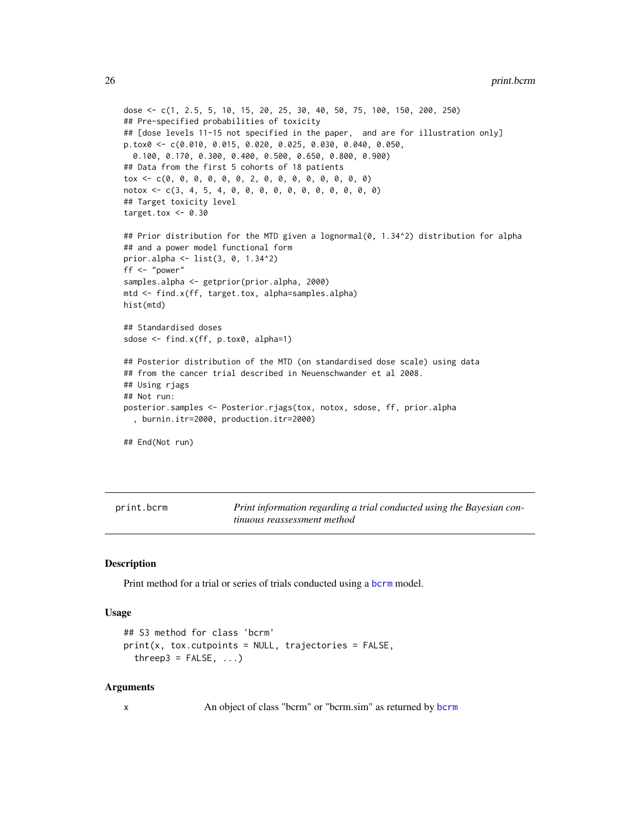```
26 print.bcrm
```

```
dose <- c(1, 2.5, 5, 10, 15, 20, 25, 30, 40, 50, 75, 100, 150, 200, 250)
## Pre-specified probabilities of toxicity
## [dose levels 11-15 not specified in the paper, and are for illustration only]
p.tox0 <- c(0.010, 0.015, 0.020, 0.025, 0.030, 0.040, 0.050,
  0.100, 0.170, 0.300, 0.400, 0.500, 0.650, 0.800, 0.900)
## Data from the first 5 cohorts of 18 patients
tox <- c(0, 0, 0, 0, 0, 0, 2, 0, 0, 0, 0, 0, 0, 0, 0)
notox <- c(3, 4, 5, 4, 0, 0, 0, 0, 0, 0, 0, 0, 0, 0, 0)
## Target toxicity level
target.tox <-0.30## Prior distribution for the MTD given a lognormal(0, 1.34^2) distribution for alpha
## and a power model functional form
prior.alpha <- list(3, 0, 1.34^2)
ff <- "power"
samples.alpha <- getprior(prior.alpha, 2000)
mtd <- find.x(ff, target.tox, alpha=samples.alpha)
hist(mtd)
## Standardised doses
sdose <- find.x(ff, p.tox0, alpha=1)
## Posterior distribution of the MTD (on standardised dose scale) using data
## from the cancer trial described in Neuenschwander et al 2008.
## Using rjags
## Not run:
posterior.samples <- Posterior.rjags(tox, notox, sdose, ff, prior.alpha
  , burnin.itr=2000, production.itr=2000)
## End(Not run)
```
<span id="page-25-1"></span>print.bcrm *Print information regarding a trial conducted using the Bayesian continuous reassessment method*

# <span id="page-25-2"></span>**Description**

Print method for a trial or series of trials conducted using a [bcrm](#page-2-1) model.

# Usage

```
## S3 method for class 'bcrm'
print(x, tax.cutpoints = NULL, trajectories = FALSE,threep3 = FALSE, ...)
```
# Arguments

x An object of class "bcrm" or "bcrm.sim" as returned by [bcrm](#page-2-1)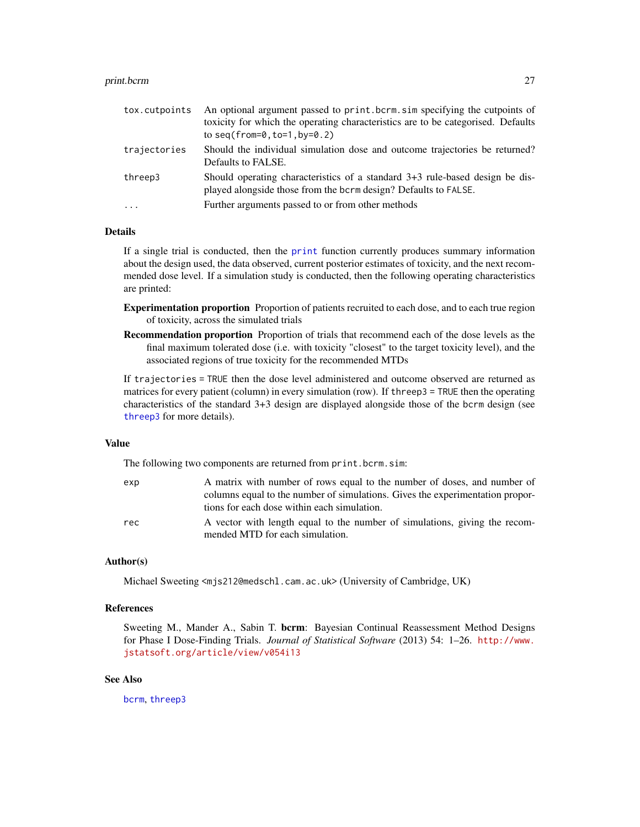#### <span id="page-26-0"></span>print.bcrm 27

| tox.cutpoints | An optional argument passed to print.bcrm.sim specifying the cutpoints of<br>toxicity for which the operating characteristics are to be categorised. Defaults<br>to seq(from= $0, \text{to}=1, \text{by}=0.2$ ) |
|---------------|-----------------------------------------------------------------------------------------------------------------------------------------------------------------------------------------------------------------|
| trajectories  | Should the individual simulation dose and outcome trajectories be returned?<br>Defaults to FALSE.                                                                                                               |
| threep3       | Should operating characteristics of a standard 3+3 rule-based design be dis-<br>played alongside those from the bcrm design? Defaults to FALSE.                                                                 |
| $\ddots$ .    | Further arguments passed to or from other methods                                                                                                                                                               |

# Details

If a single trial is conducted, then the [print](#page-0-0) function currently produces summary information about the design used, the data observed, current posterior estimates of toxicity, and the next recommended dose level. If a simulation study is conducted, then the following operating characteristics are printed:

Experimentation proportion Proportion of patients recruited to each dose, and to each true region of toxicity, across the simulated trials

Recommendation proportion Proportion of trials that recommend each of the dose levels as the final maximum tolerated dose (i.e. with toxicity "closest" to the target toxicity level), and the associated regions of true toxicity for the recommended MTDs

If trajectories = TRUE then the dose level administered and outcome observed are returned as matrices for every patient (column) in every simulation (row). If threep3 = TRUE then the operating characteristics of the standard 3+3 design are displayed alongside those of the bcrm design (see [threep3](#page-28-1) for more details).

#### Value

The following two components are returned from print.bcrm.sim:

| exp | A matrix with number of rows equal to the number of doses, and number of      |
|-----|-------------------------------------------------------------------------------|
|     | columns equal to the number of simulations. Gives the experimentation propor- |
|     | tions for each dose within each simulation.                                   |
| rec | A vector with length equal to the number of simulations, giving the recom-    |
|     | mended MTD for each simulation.                                               |

# Author(s)

Michael Sweeting <mjs212@medschl.cam.ac.uk> (University of Cambridge, UK)

# References

Sweeting M., Mander A., Sabin T. bcrm: Bayesian Continual Reassessment Method Designs for Phase I Dose-Finding Trials. *Journal of Statistical Software* (2013) 54: 1–26. [http://www.](http://www.jstatsoft.org/article/view/v054i13) [jstatsoft.org/article/view/v054i13](http://www.jstatsoft.org/article/view/v054i13)

# See Also

[bcrm](#page-2-1), [threep3](#page-28-1)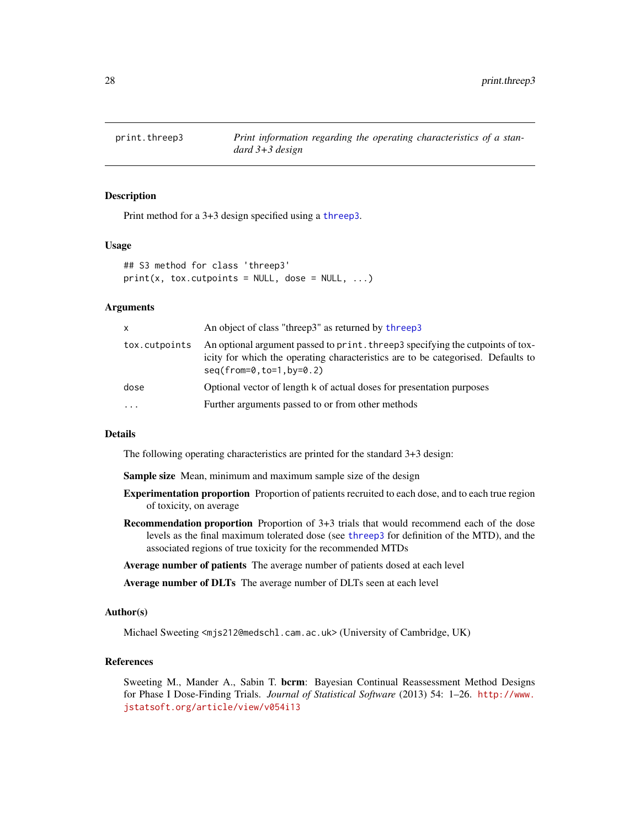<span id="page-27-1"></span><span id="page-27-0"></span>

# **Description**

Print method for a 3+3 design specified using a [threep3](#page-28-1).

# Usage

```
## S3 method for class 'threep3'
print(x, tax.cutpoints = NULL, dose = NULL, ...)
```
#### Arguments

| X             | An object of class "threep3" as returned by threep3                                                                                                                                                |
|---------------|----------------------------------------------------------------------------------------------------------------------------------------------------------------------------------------------------|
| tox.cutpoints | An optional argument passed to print. three p3 specifying the cutpoints of tox-<br>icity for which the operating characteristics are to be categorised. Defaults to<br>$seq(from=0, to=1, by=0.2)$ |
| dose          | Optional vector of length k of actual doses for presentation purposes                                                                                                                              |
| $\cdots$      | Further arguments passed to or from other methods                                                                                                                                                  |

#### Details

The following operating characteristics are printed for the standard 3+3 design:

Sample size Mean, minimum and maximum sample size of the design

- Experimentation proportion Proportion of patients recruited to each dose, and to each true region of toxicity, on average
- Recommendation proportion Proportion of 3+3 trials that would recommend each of the dose levels as the final maximum tolerated dose (see [threep3](#page-28-1) for definition of the MTD), and the associated regions of true toxicity for the recommended MTDs
- Average number of patients The average number of patients dosed at each level

Average number of DLTs The average number of DLTs seen at each level

# Author(s)

Michael Sweeting <mjs212@medschl.cam.ac.uk> (University of Cambridge, UK)

# References

Sweeting M., Mander A., Sabin T. bcrm: Bayesian Continual Reassessment Method Designs for Phase I Dose-Finding Trials. *Journal of Statistical Software* (2013) 54: 1–26. [http://www.](http://www.jstatsoft.org/article/view/v054i13) [jstatsoft.org/article/view/v054i13](http://www.jstatsoft.org/article/view/v054i13)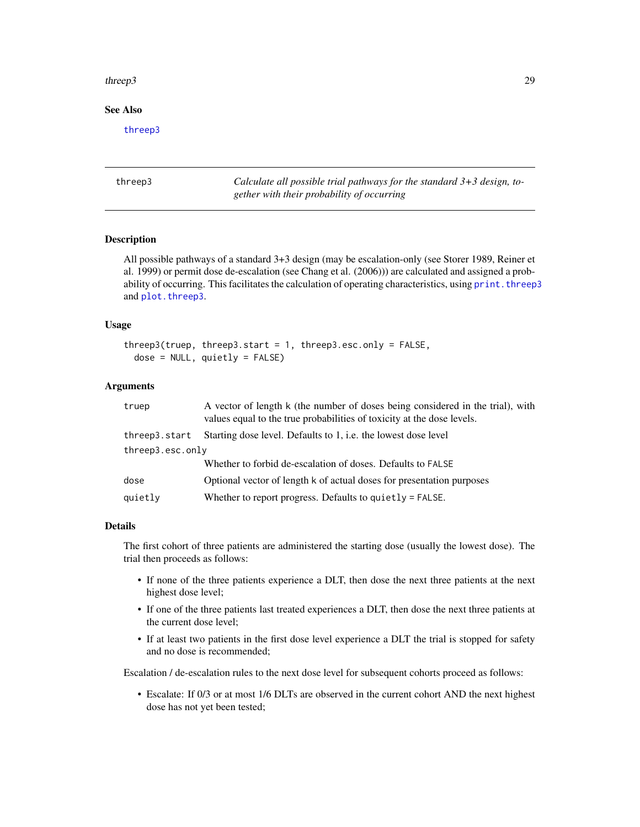#### <span id="page-28-0"></span>three p3 29

# See Also

[threep3](#page-28-1)

<span id="page-28-1"></span>threep3 *Calculate all possible trial pathways for the standard 3+3 design, together with their probability of occurring*

# **Description**

All possible pathways of a standard 3+3 design (may be escalation-only (see Storer 1989, Reiner et al. 1999) or permit dose de-escalation (see Chang et al. (2006))) are calculated and assigned a probability of occurring. This facilitates the calculation of operating characteristics, using print. threep3 and [plot.threep3](#page-15-1).

# Usage

```
threep3(truep, threep3.start = 1, threep3.esc.only = FALSE,
  dose = NULL, quietly = FALSE)
```
# Arguments

| truep            | A vector of length k (the number of doses being considered in the trial), with<br>values equal to the true probabilities of toxicity at the dose levels. |  |
|------------------|----------------------------------------------------------------------------------------------------------------------------------------------------------|--|
| threep3.start    | Starting dose level. Defaults to 1, i.e. the lowest dose level                                                                                           |  |
| threep3.esc.only |                                                                                                                                                          |  |
|                  | Whether to forbid de-escalation of doses. Defaults to FALSE                                                                                              |  |
| dose             | Optional vector of length k of actual doses for presentation purposes                                                                                    |  |
| quietly          | Whether to report progress. Defaults to quietly $=$ FALSE.                                                                                               |  |
|                  |                                                                                                                                                          |  |

#### Details

The first cohort of three patients are administered the starting dose (usually the lowest dose). The trial then proceeds as follows:

- If none of the three patients experience a DLT, then dose the next three patients at the next highest dose level;
- If one of the three patients last treated experiences a DLT, then dose the next three patients at the current dose level;
- If at least two patients in the first dose level experience a DLT the trial is stopped for safety and no dose is recommended;

Escalation / de-escalation rules to the next dose level for subsequent cohorts proceed as follows:

• Escalate: If 0/3 or at most 1/6 DLTs are observed in the current cohort AND the next highest dose has not yet been tested;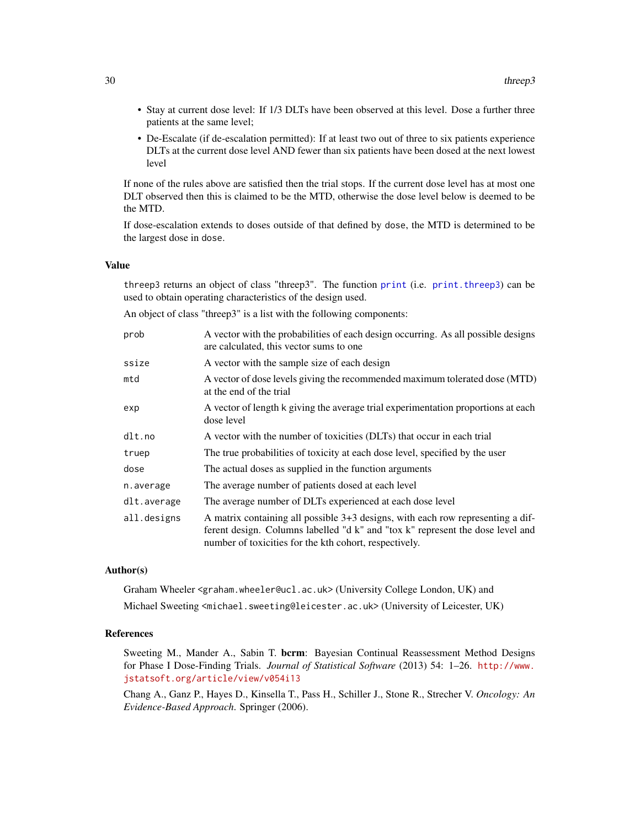- <span id="page-29-0"></span>• Stay at current dose level: If 1/3 DLTs have been observed at this level. Dose a further three patients at the same level;
- De-Escalate (if de-escalation permitted): If at least two out of three to six patients experience DLTs at the current dose level AND fewer than six patients have been dosed at the next lowest level

If none of the rules above are satisfied then the trial stops. If the current dose level has at most one DLT observed then this is claimed to be the MTD, otherwise the dose level below is deemed to be the MTD.

If dose-escalation extends to doses outside of that defined by dose, the MTD is determined to be the largest dose in dose.

# Value

threep3 returns an object of class "threep3". The function [print](#page-0-0) (i.e. [print.threep3](#page-27-1)) can be used to obtain operating characteristics of the design used.

An object of class "threep3" is a list with the following components:

| prob        | A vector with the probabilities of each design occurring. As all possible designs<br>are calculated, this vector sums to one.                                                                                               |
|-------------|-----------------------------------------------------------------------------------------------------------------------------------------------------------------------------------------------------------------------------|
| ssize       | A vector with the sample size of each design                                                                                                                                                                                |
| mtd         | A vector of dose levels giving the recommended maximum tolerated dose (MTD)<br>at the end of the trial                                                                                                                      |
| exp         | A vector of length k giving the average trial experimentation proportions at each<br>dose level                                                                                                                             |
| dlt.no      | A vector with the number of toxicities (DLTs) that occur in each trial                                                                                                                                                      |
| truep       | The true probabilities of toxicity at each dose level, specified by the user                                                                                                                                                |
| dose        | The actual doses as supplied in the function arguments                                                                                                                                                                      |
| n.average   | The average number of patients dosed at each level                                                                                                                                                                          |
| dlt.average | The average number of DLTs experienced at each dose level                                                                                                                                                                   |
| all.designs | A matrix containing all possible 3+3 designs, with each row representing a dif-<br>ferent design. Columns labelled "d k" and "tox k" represent the dose level and<br>number of toxicities for the kth cohort, respectively. |

# Author(s)

Graham Wheeler <graham.wheeler@ucl.ac.uk> (University College London, UK) and Michael Sweeting <michael.sweeting@leicester.ac.uk> (University of Leicester, UK)

#### References

Sweeting M., Mander A., Sabin T. bcrm: Bayesian Continual Reassessment Method Designs for Phase I Dose-Finding Trials. *Journal of Statistical Software* (2013) 54: 1–26. [http://www.](http://www.jstatsoft.org/article/view/v054i13) [jstatsoft.org/article/view/v054i13](http://www.jstatsoft.org/article/view/v054i13)

Chang A., Ganz P., Hayes D., Kinsella T., Pass H., Schiller J., Stone R., Strecher V. *Oncology: An Evidence-Based Approach*. Springer (2006).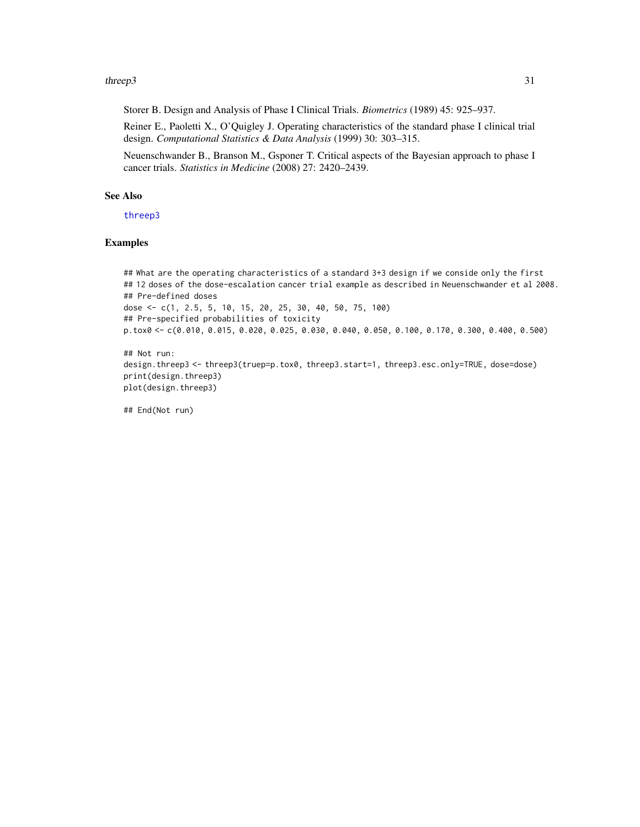#### <span id="page-30-0"></span> $threep3$  31

Storer B. Design and Analysis of Phase I Clinical Trials. *Biometrics* (1989) 45: 925–937.

Reiner E., Paoletti X., O'Quigley J. Operating characteristics of the standard phase I clinical trial design. *Computational Statistics & Data Analysis* (1999) 30: 303–315.

Neuenschwander B., Branson M., Gsponer T. Critical aspects of the Bayesian approach to phase I cancer trials. *Statistics in Medicine* (2008) 27: 2420–2439.

# See Also

[threep3](#page-28-1)

# Examples

```
## What are the operating characteristics of a standard 3+3 design if we conside only the first
## 12 doses of the dose-escalation cancer trial example as described in Neuenschwander et al 2008.
## Pre-defined doses
dose <- c(1, 2.5, 5, 10, 15, 20, 25, 30, 40, 50, 75, 100)
## Pre-specified probabilities of toxicity
p.tox0 <- c(0.010, 0.015, 0.020, 0.025, 0.030, 0.040, 0.050, 0.100, 0.170, 0.300, 0.400, 0.500)
```
## Not run: design.threep3 <- threep3(truep=p.tox0, threep3.start=1, threep3.esc.only=TRUE, dose=dose) print(design.threep3) plot(design.threep3)

## End(Not run)